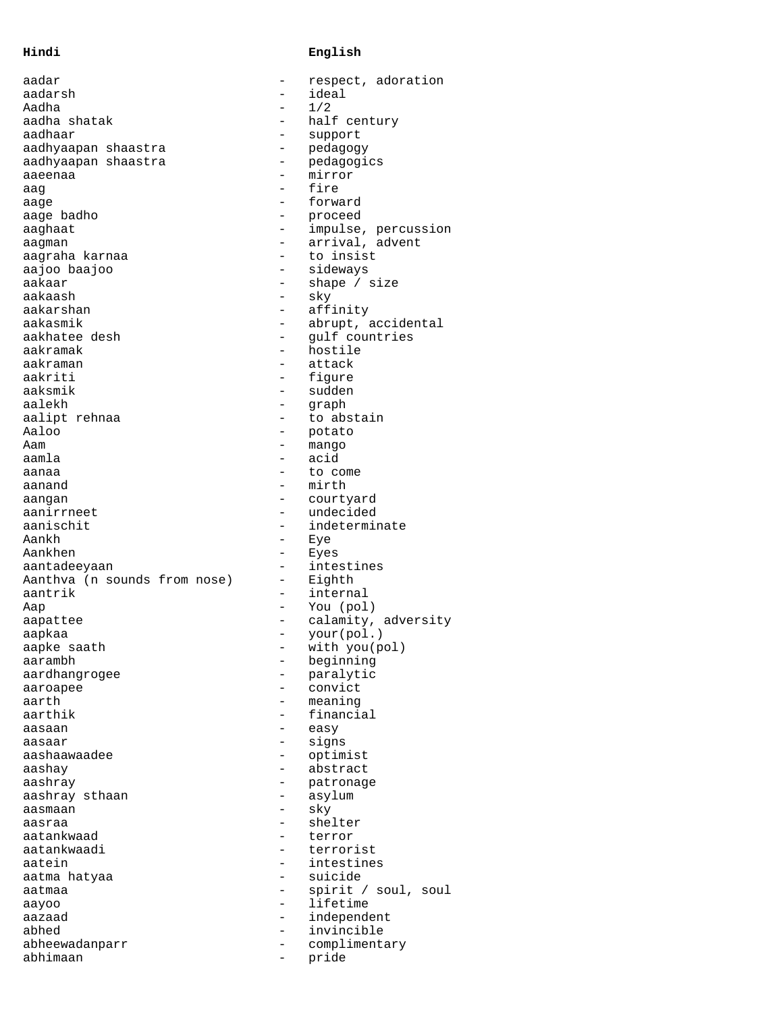## **Hindi English**

| aadar                        | respect, adoration             |
|------------------------------|--------------------------------|
| aadarsh                      | ideal                          |
| Aadha                        | 1/2                            |
| aadha shatak                 | half century                   |
| aadhaar                      | support                        |
| aadhyaapan shaastra          | pedagogy                       |
| aadhyaapan shaastra          | pedagogics                     |
| aaeenaa                      | mirror                         |
| aaq                          | fire                           |
| aage<br>aage badho           | forward                        |
| aaghaat                      | proceed<br>impulse, percussion |
| aaqman                       | arrival, advent                |
| aagraha karnaa               | to insist                      |
| aajoo baajoo                 | sideways                       |
| aakaar                       | shape / size                   |
| aakaash                      | sky                            |
| aakarshan                    | affinity                       |
| aakasmik                     | abrupt, accidental             |
| aakhatee desh                | qulf countries                 |
| aakramak                     | hostile                        |
| aakraman                     | attack                         |
| aakriti                      | figure                         |
| aaksmik                      | sudden                         |
| aalekh                       | qraph                          |
| aalipt rehnaa                | to abstain                     |
| Aaloo                        | potato                         |
| Aam                          | mango                          |
| aamla                        | acid                           |
| aanaa                        | to come                        |
| aanand                       | mirth                          |
| aangan<br>aanirrneet         | courtyard<br>undecided         |
| aanischit                    | indeterminate                  |
| Aankh                        | Eye                            |
| Aankhen                      | Eyes                           |
| aantadeeyaan                 | intestines                     |
| Aanthva (n sounds from nose) | Eighth                         |
| aantrik                      | internal                       |
| Aap                          | You (pol)                      |
| aapattee                     | calamity, adversity            |
| aapkaa                       | your(pol.)                     |
| aapke saath                  | with you(pol)                  |
| aarambh                      | beginning                      |
| aardhangrogee                | paralytic                      |
| aaroapee                     | convict                        |
| aarth                        | meaning                        |
| aarthik                      | financial                      |
| aasaan                       | easy                           |
| aasaar                       | signs                          |
| aashaawaadee                 | optimist<br>abstract           |
| aashay<br>aashray            | patronage                      |
| aashray sthaan               | asylum                         |
| aasmaan                      | sky                            |
| aasraa                       | shelter                        |
| aatankwaad                   | terror                         |
| aatankwaadi                  | terrorist                      |
| aatein                       | intestines                     |
| aatma hatyaa                 | suicide                        |
| aatmaa                       | spirit / soul,<br>soul         |
| aayoo                        | lifetime                       |
| aazaad                       | independent                    |
| abhed                        | invincible                     |
| abheewadanparr               | complimentary                  |
| abhimaan                     | pride                          |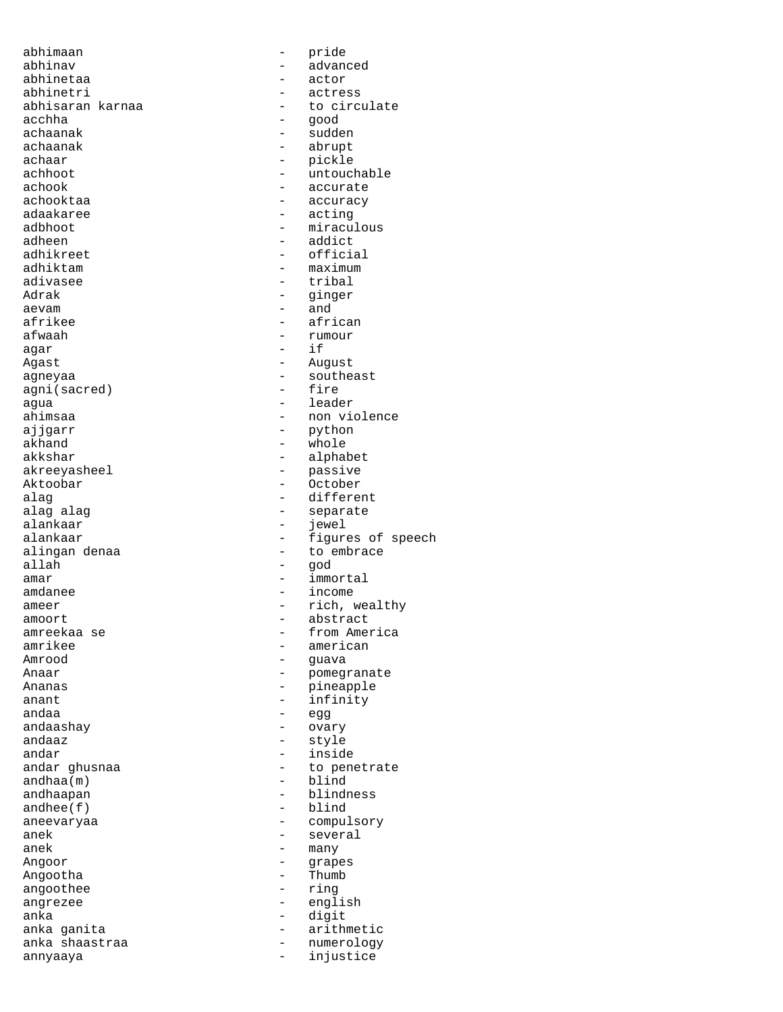abhimaan - pride abhinav - advanced abhinetaa - actor abhinetri - actress abhisaran karnaa - to circulate<br>acchha - aood acchha - good achaanak - sudden achaanak - abrupt - abrupt - abrupt - abrupt - abrupt - abrupt - abrupt - abrupt - abrupt - abrupt - abrupt achaar - pickle achhoot - untouchable<br>achook - accurate achook - accurate adaakaree - acting adbhoot - miraculous adheen - addict<br>adhikreet - - addict<br>- officia adhikreet - official<br>adhiktam - maximum - maximum adivasee<br>Adrak Adrak - ginger<br>aevam - and - and aevam - and afrikee - african - african - african - african - african - african - african - african - african - african  $aqar$  - if Agast - August agneyaa - southeast<br>agni(sacred) - fire agni(sacred) agua - leader - leader - leader - leader - leader - leader - leader - leader - leader - leader - leader - leader - leader - leader - leader - leader - leader - leader - leader - leader - leader - leader - leader - leader ajjgarr - python - python - python - python - python - python - python - python - python - python - python - python - python - python - python - python - python - python - python - python - python - python - python - pytho akhand - whole akkshar - alphabet<br>akreeyasheel - passive akreeyasheel - passive - passive - passive - passive - passive - passive - passive - passive - passive - passive - passive - passive - passive - passive - passive - passive - passive - passive - passive - passive - passive Aktoobar - October<br>alaq - differe: alag - different alag alag separate alankaar separate alankaar separate alankaar separate separate separate separate separate s alankaar - jewel<br>alankaar - figure alankaar - figures of speech<br>alingan denaa - - - - - - - - to embrace allah - god amar - immortal amdanee - income ameer - rich, wealthy<br>amoort - abstract amreekaa se - - - - - - - - - from America amrikee - american - american - american - american - american - american - american - american - american - american - american - american - american - american - american - american - american - american - american - ame Amrood - guava Ananas - pineapple  $\begin{array}{ccc}\n\text{anant} & - & \text{infinity} \\
\text{and}\n\end{array}$ andaashay - ovary andaaz - style andar - inside andhaa(m)<br>andhaapan andhee(f) - blind aneevaryaa - compulsory<br>anek - several - several anek - several - several - several - several - several - several - several - several - several - several - several - several - several - several - several - several - several - several - several - several - several - sever anek - many<br>Angoor - grap Angootha - Thumb<br>angoothee - Thumb - Thumb angoothee angrezee - english anka - digit anka ganita<br>anka shaastraa - arithmetic<br>- anka shaastraa - ana - anumerology anka shaastraa - 1999 - numerology<br>annyaaya - injustice annyaaya - injustice

- accuracy - maximum<br>- tribal - rumour - non violence - to embrace - abstract - pomegranate - egg - to penetrate<br>- blind - blindness - grapes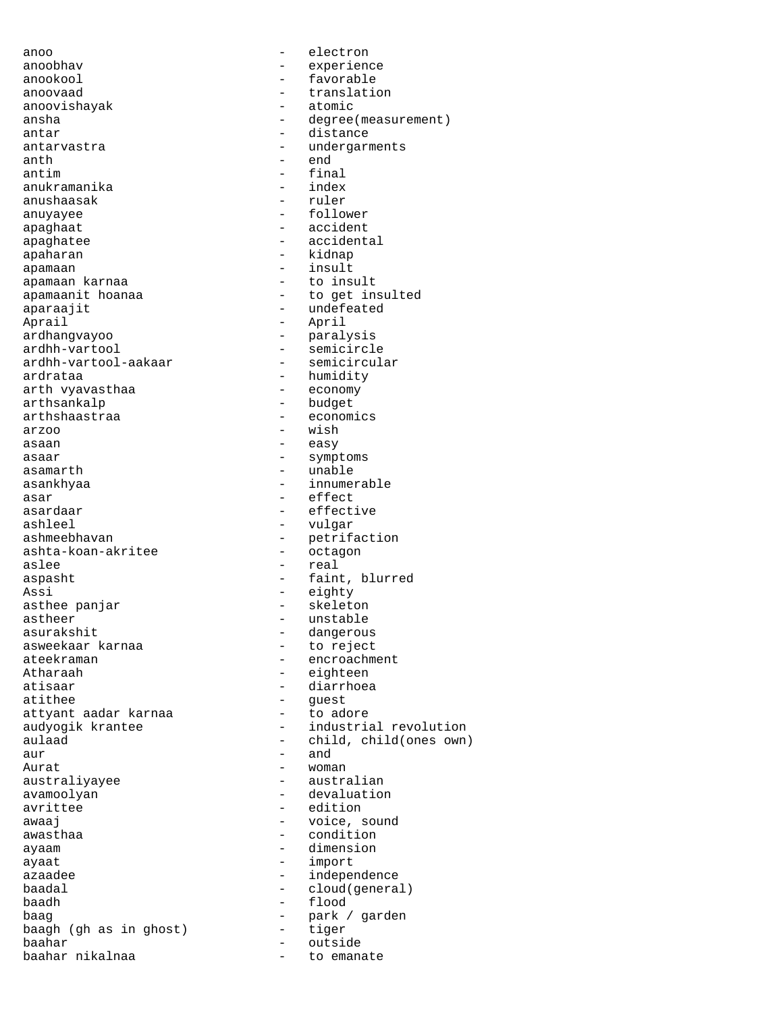anoo - electron anoobhav - experience anookool - favorable - favorable - favorable - favorable - favorable - favorable - favorable - favorable - favorable - favorable - favorable - favorable - favorable - favorable - favorable - favorable - favorable - favorab anoovishayak antar - distance antarvastra  $\qquad \qquad -$  undergarments anth - end<br>antim - final - final anukramanika - index<br>anushaasak - ruler anushaasak anuyayee - follower apaghaat - accident apaghatee - accidental apaharan  $\qquad$  - kidnap apamaan - insult apamaan karnaa apamaanit hoanaa - to get insulted aparaajit - undefeated<br>Aprail - April - April Aprail - April ardhangvayoo - paralysis ardhh-vartool-aakaar ardrataa - humidity<br>arth vyavasthaa - - economy arth vyavasthaa arthsankalp - budget arthshaastraa - economics  $\frac{1}{2}$  arzoo - wish asaan - easy asaar - symptoms asamarth - unable asankhyaa - innumerable asar - effect<br>asardaar - effect asardaar - effective<br>
ashleel - wulgar ashleel - vulgar<br>ashmeebhayan - charifi ashta-koan-akritee aslee - real aspasht - faint, blurred Assi - eighty<br>asthee panjar - eighty<br>- skeleton asthee panjar<br>astheer astheer - unstable - unstable<br>asurakshit - dangerou asweekaar karnaa<br>ateekraman ateekraman - encroachment<br>Atharaah - eighteen Atharaah - eighteen<br>atisaar - eighteen<br>- diarrhoea atithee - guest<br>attvant aadar karnaa - - - - - - to adore attyant aadar karnaa  $\mathsf{aur}$   $\qquad \qquad$   $\qquad \qquad$   $\qquad \qquad$   $\qquad \qquad$   $\qquad \qquad$   $\qquad$   $\qquad \qquad$   $\qquad$   $\qquad$   $\qquad$   $\qquad$   $\qquad$   $\qquad$   $\qquad$   $\qquad$   $\qquad$   $\qquad$   $\qquad$   $\qquad$   $\qquad$   $\qquad$   $\qquad$   $\qquad$   $\qquad$   $\qquad$   $\qquad$   $\qquad$   $\qquad$   $\qquad$   $\qquad$   $\qquad$   $\qquad$   $\$ Aurat - woman australiyayee - australian avamoolyan - devaluation<br>avrittee - edition<br>- edition awaaj - voice, sound ayaam - dimension ayaat - import azaadee - independence<br>
baadal - independence<br>
- cloud(genera baadh - flood baag - park / garden baagh (gh as in ghost) - tiger<br>baahar - outsid baahar - outside baahar nikalnaa  $-$  to emanate

- translation<br>- atomic ansha - degree(measurement) - final<br>- index - semicircle<br>- semicircular - petrifaction<br>- octagon - dangerous<br>- to reject - diarrhoea audyogik krantee  $\qquad \qquad -$  industrial revolution aulaad - child, child(ones own) - edition - condition - cloud(general)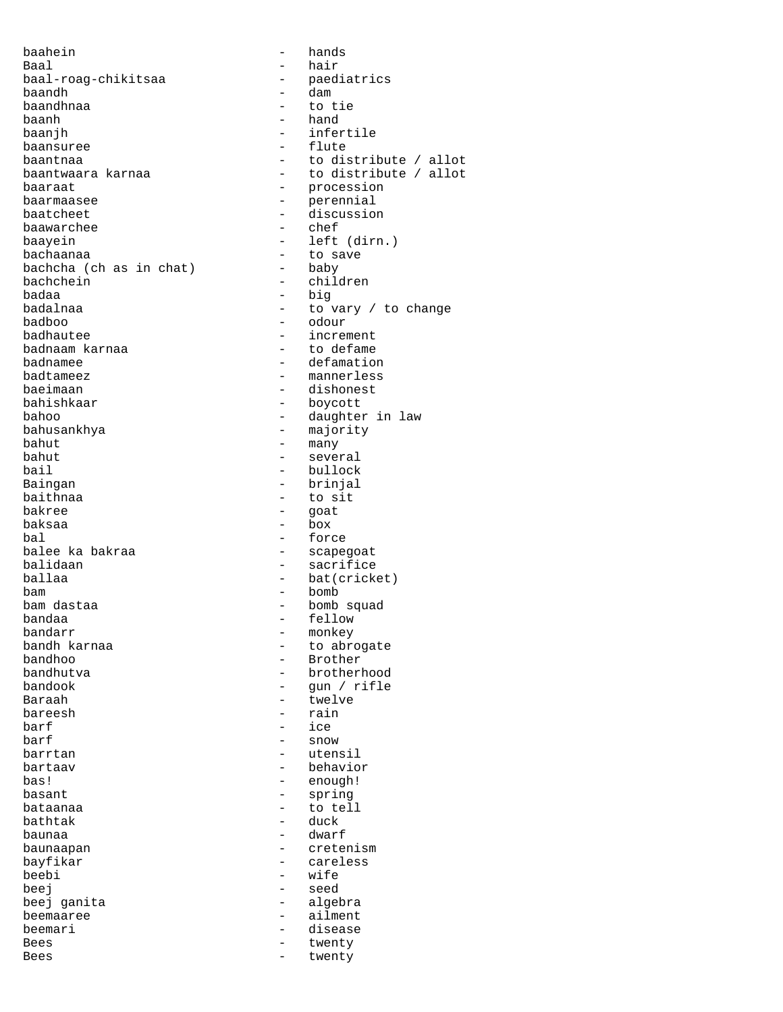baahein - hands Baal - hair baal-roag-chikitsaa<br>baandh baandh - dam - dam - dam - dam - dam - to t baandhnaa - to tie baanh - to tie baanh - to the baanh - to the band - to the band - to the band - to the band baanh - hand baanjh - infertile baansuree - flute baantwaara karnaa  $-$  to distribute / allot baaraat - procession baarmaasee - perennial baatcheet - discussion<br>baawarchee - discussion<br>- chef baawarchee baayein - left (dirn.) bachaanaa - to save<br>bachcha (ch as in chat) - baby bachcha (ch as in chat) - baby<br>bachchein - children bachchein - children - children - children - children - children - children - children - children - children badaa - big<br>badalnaa - big - bo v badalnaa - to vary / to change badboo - odour badhautee - increment<br>badnaam karnaa - - - - - - - - to defame badnaam karnaa - to defame<br>badnamee - defamation badnamee - defamation badtameez - mannerless bahishkaar - boycott bahoo - daughter in law bahusankhya - majority bahut - many bahut - many bahut - many - many bahut - many - many - many - many - many - many - many - many - many - many - many - many - many - many - many - many - many - many - many - many - many - many - many - many bahut - several bail - bullock - bullock - bullock - baingan Baingan - brinjal baithnaa - to sit<br>bakree - qoat bakree - goat<br>baksaa - box  $b$ aksaa - box - box - box - box - forc bal - force balidaan - sacrifice ballaa - bat(cricket) bam - bomb bam dastaa - bomb squad bandaa - fellow bandarr - monkey bandh karnaa - to abrogate<br>bandhoo - - - - - - - - Brother bandhoo - Brother bandook - gun / rifle Baraah - twelve bareesh - rain barf  $-$  ice barf - snow barrtan  $-$  utensil bartaav - behavior bas! - enough! basant - spring bathtak<br>baunaa baunaa - dwarf - dwarf - dwarf - dwarf - dwarf - dwarf - dwarf - dwarf - dwarf - dwarf - dwarf - dwarf - dwarf - dwarf - dwarf - dwarf - dwarf - dwarf - dwarf - dwarf - dwarf - dwarf - dwarf - dwarf - dwarf - dwarf - dwarf bayfikar - careless beej en aangesteld beej en aangesteld beej en aangesteld beej en aangesteld beej en aangesteld beej en aangesteld beej en aangesteld beej en aangesteld beej en aangesteld beej en aangesteld beej en aangesteld beej en aange beej ganita - algebra beemaaree - ailment beemari - disease Bees - twenty Bees - twenty

- to distribute / allot - dishonest - scapegoat - brotherhood - to tell<br>- duck - cretenism - wife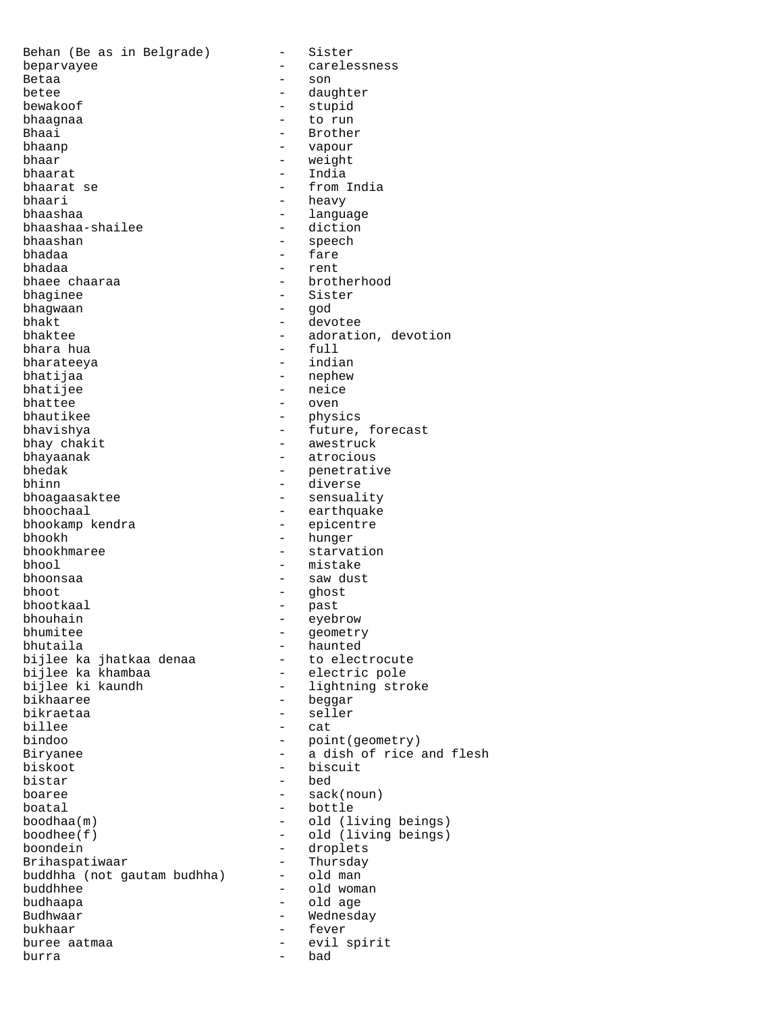Behan (Be as in Belgrade) - Sister beparvayee extension to the carelessness Betaa - son betee - daughter bewakoof - stupid bhaagnaa - to run Bhaai - Brother<br>bhaanp - Brother - Brother<br>- vapour - vapour bhaanp - vapour - weight bhaarat - India bhaarat se - from India<br>bhaari - heavy bhaari - heavy - language<br>- diction bhaashaa-shailee bhaashan - speech bhadaa - fare bhadaa - rent bhaee chaaraa - brotherhood bhaginee - brotherhood - brotherhood - brotherhood - sister bhaginee - Sister<br>bhagwaan - God - God bhagwaan - god bhakt - devotee - adoration, devotion<br>- full bhara hua bharateeya - indian bhatijaa - nephew - nephew bhatijee - neice<br>bhattee - oven bhattee - oven bhautikee - physics bhavishya - future, forecast bhay chakit<br>bhayaanak - awestruck<br>- atrocious bhayaanak - atrocious bhedak - penetrative bhinn - diverse - sensuality bhoochaal - earthquake<br>bhookamp kendra - - epicentre bhookamp kendra - epicentre bhookh - hunger<br>bhookhmaree - starvat - starvation bhool - mistake bhoonsaa - saw dust bhoot - ghost bhootkaal - past bhouhain - eyebrow bhumitee - geometry<br>bhutaila - haunted - haunted<br>- to electrocute bijlee ka jhatkaa denaa to electrocute<br>bijlee ka khambaa electric pole bijlee ka khambaa<br>bijlee ki kaundh bijlee ki kaundh  $\begin{array}{ccc} - & 1$ ightning stroke bikhaaree bikhaaree - beggar<br>bikraetaa - - seller - seller billee - cat bindoo - point(geometry) Biryanee - a dish of rice and flesh biskoot - biscuit - bed boaree - sack(noun)  $\begin{array}{cccc}\n\text{board} & \text{total} & \text{total} \\
\text{boolean}(\mathfrak{m}) & \text{total} & \text{total} \\
\end{array}$ boodhaa(m) - old (living beings)<br>boodhee(f) - old (living beings) - old (living beings) boondein<br>Brihaspatiwaar - droplets<br>- Thursday Brihaspatiwaar - Thursday<br>buddhha (not qautam budhha) - old man buddhha (not gautam budhha) buddhhee - old woman budhaapa - old age Budhwaar - Wednesday bukhaar - fever buree aatmaa - evil spirit van die van die van die van die van die van die van die van die van die van die van<br>Begrens van die van die van die van die van die van die van die van die van die van die van die van die van di<br> burra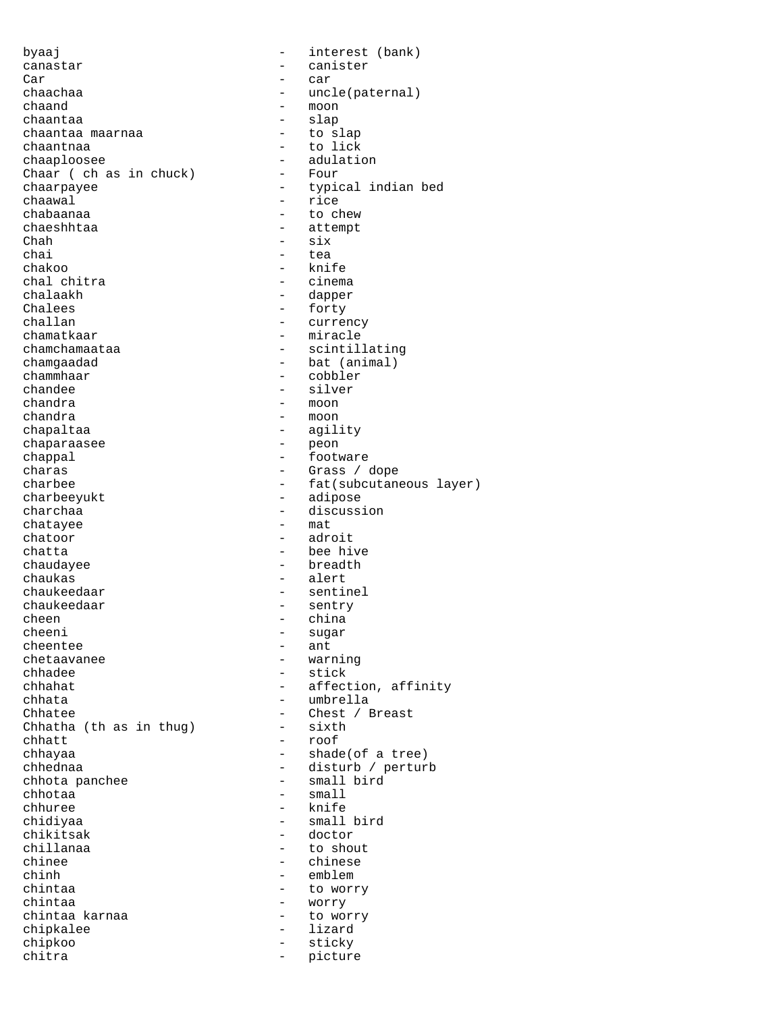byaaj  $-$  interest (bank) canastar - canister<br>Carl - canister<br>Carl - car Car - car chaachaa - uncle(paternal) chaand - moon chaantaa<br>chaantaa maarnaa - slap - to slap chaantaa maarnaa<br>chaantnaa chaantnaa - to lick<br>chaaploosee - to lick<br>- adulati - adulation<br>- Four Chaar (  $ch$  as in  $chuck$ ) chaarpayee - typical indian bed chaawal - rice - to chew chaeshhtaa - attempt Chah - six<br>chai - tea chai - tea chakoo - knife chal chitra<br>chalaakh chalaakh - dapper Chalees - forty<br>
challan - curre:<br>
- curre: challan - currency - miracle chamchamaataa - scintillating chamgaadad - bat (animal)<br>chammhaar - cobbler chammhaar - cobbler<br>
chandee - silver - silver chandra - moon chandra - moon chapaltaa - agility chaparaasee chappal - footware<br>charas - footware - footware<br>- Grass / ( charas - Grass / dope charbee - fat(subcutaneous layer)<br>
charbeeyukt - adipose - adipose charchaa - discussion - discussion<br>
- mat chatayee chatoor - adroit chatta - bee hive chaudayee - breadth chaukas - alert<br>chaukeedaar - alert - alert chaukeedaar - sentinel<br>chaukeedaar - sentry chaukeedaar - sentry<br>cheen - china cheen - china<br>cheeni - china<br>- sugar cheeni - sugar cheentee - ant - ant - ant - ant - ant - ant - ant - ant - ant - ant - ant - ant - ant - ant - ant - ant - ant - ant - ant - ant - ant - ant - ant - ant - ant - ant - ant - ant - ant - ant - ant - ant - ant - ant - ant - a chetaavanee - warning<br>chhadee - warning<br>- stick chhadee - stick<br>chhahat - stick<br>- affect chhahat - affection, affinity chhata - umbrella - Chest / Breast<br>- sixth Chhatha (th as in thug)  $\begin{tabular}{cccccc} \multicolumn{2}{c}{\textbf{chhatt}} & \multicolumn{2}{c}{\textbf{c} \multicolumn{2}{c}{\textbf{chhatt}} }\\ \multicolumn{2}{c}{\textbf{chhatt}} & \multicolumn{2}{c}{\textbf{c} \multicolumn{2}{c}{\textbf{c} \multicolumn{2}{c}{\textbf{c} \multicolumn{2}{c}{\textbf{c} \multicolumn{2}{c}{\textbf{c} \multicolumn{2}{c}{\textbf{c} \multicolumn{2}{c}{\textbf{c} \multicolumn{2}{c}{\textbf{c} \multicolumn{2}{c}{\textbf{c} \multicolumn{2$ chhayaa - shade(of a tree) chhednaa - disturb / perturb chhota panchee chhotaa - small chhuree - knife<br>chidiyaa - knife - knife chidiyaa - small bird chikitsak - doctor chillanaa - to shout<br>chinee - to shout chinee - chinese<br>chinh - chinh - emblem chinh - emblem<br>
chintaa - to wor: to worry chintaa - worry chintaa karnaa - to worry chipkalee - to worry chipkalee - to to worry - to worry chipse - to the set of the s chipkalee - lizardina - lizardina - lizardina - lizardina - lizardina - lizardina - lizardina - lizardina - li chipkoo - sticky chitra - picture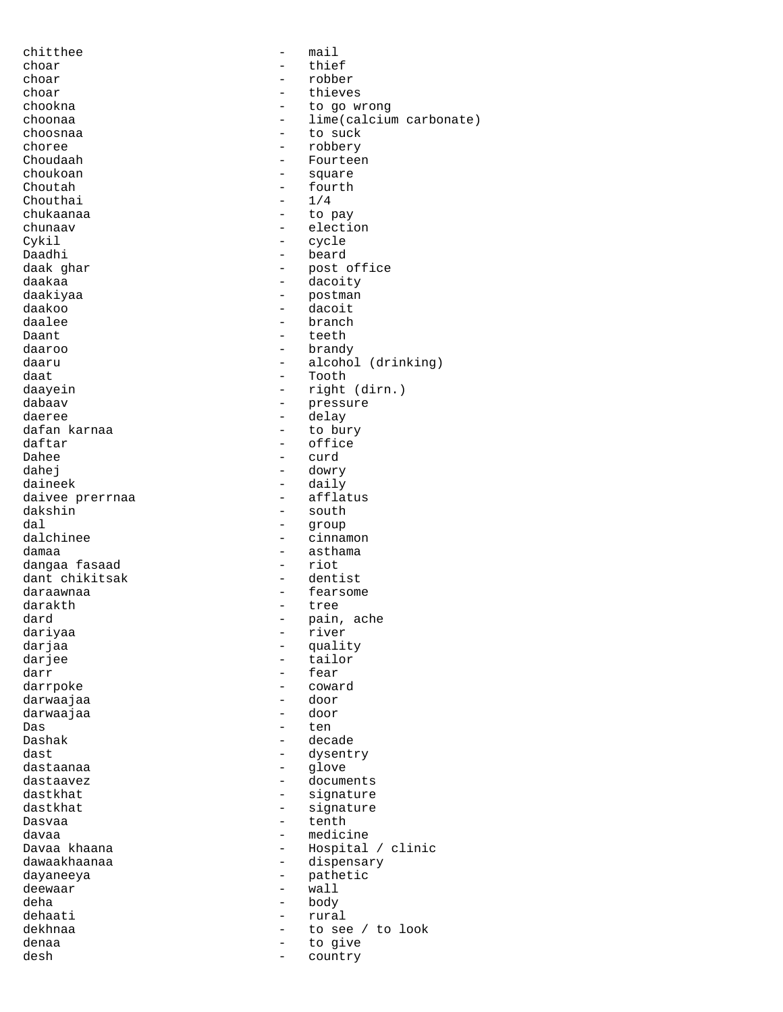chitthee - mail choar - thief - the state of the state of the state of the state of the state of the state of the state of the state of the state of the state of the state of the state of the state of the state of the state of the state o robber choar - thieves<br>
chookna chookna - to go wrong choonaa - lime(calcium carbonate) choosnaa - to suck<br>choree - to suck - to suck choree - robbery<br>Choudaah - robbery - rourtee: - Fourteen choukoan - square Choutah  $-$  fourth  $-$  1/4  $Chouthai$ chukaanaa - to pay chunaav - election Cykil - cycle Daadhi - beard daak ghar - post office daakaa - dacoity - dacoity<br>daakiyaa - dacoity - postman daakiyaa - postman - postman - postman - postman - postman - postman - postman - postman - postman - postman daakoo - dacoit - dacoit<br>daalee - - - - branch daalee - branch - branch - branch - branch - branch - branch - branch - branch - branch - branch - branch - branch - branch - branch - branch - branch - branch - branch - branch - branch - branch - branch - branch - branch teeth daaroo - brandy daaru - alcohol (drinking) daat - Tooth daayein - Tooth - Tooth daayein - Tooth - Tooth - Tooth - Tooth - Tooth - Tooth - Tooth - Tooth -- right (dirn.) dabaav - pressure daeree - delay dafan karnaa - to bury daftar - office Dahee - curd<br>dahej - dowr dowry daineek - daily<br>daivee prerrnaa - - - - - - - - - afflatus daivee prerrnaa<br>dakshin dakshin - south - south - south - south - south - south - south - south - south - south - south - south - south - south - south - south - south - south - south - south - south - south - south - south - south - south - sout dal - group - cinnamon damaa 1888 1899 - asthama<br>dangaa fasaad 1888 - aasthama dangaa fasaad dant chikitsak  $-$  dentist daraawnaa - fearsome darakth - tree dard - pain, ache dariyaa - river darjaa - quality darjee - quality darjee - quality - quality darjee - quality - quality - quality - quality - <br>- quality - quality - quality - quality - quality - quality - quality - quality - quality - quality - quality darjee - tailor - tailor<br>darr - fear - fear darrpoke - coward darwaajaa - door darwaajaa Das - ten Dashak - decade dast  $\qquad \qquad -$  dysentry dastaanaa - glove dastaavez - documents - signature<br>- signature dastkhat - signature Dasvaa - tenth - tenth davaa - tenth - tenth - tenth - tenth - tenth - tenth - tenth - tenth - tenth - tenth - tenth - tenth - tenth - tenth - tenth - tenth - tenth - tenth - tenth - tenth - tenth - tenth - tenth - tenth davaa - medicine - medicine - medicine - medicine - medicine - medicine - medicine - medicine - medicine - me - Hospital / clinic dawaakhaanaa - dispensary dayaneeya - pathetic deewaar deha - body - body - body - body - body - body - body - body - body - body - body - body - body - body - body - body - body - body - body - body - body - body - body - body - body - body - body - body - body - body - body dehaati - rural dekhnaa - to see / to look denaa - to give desh - country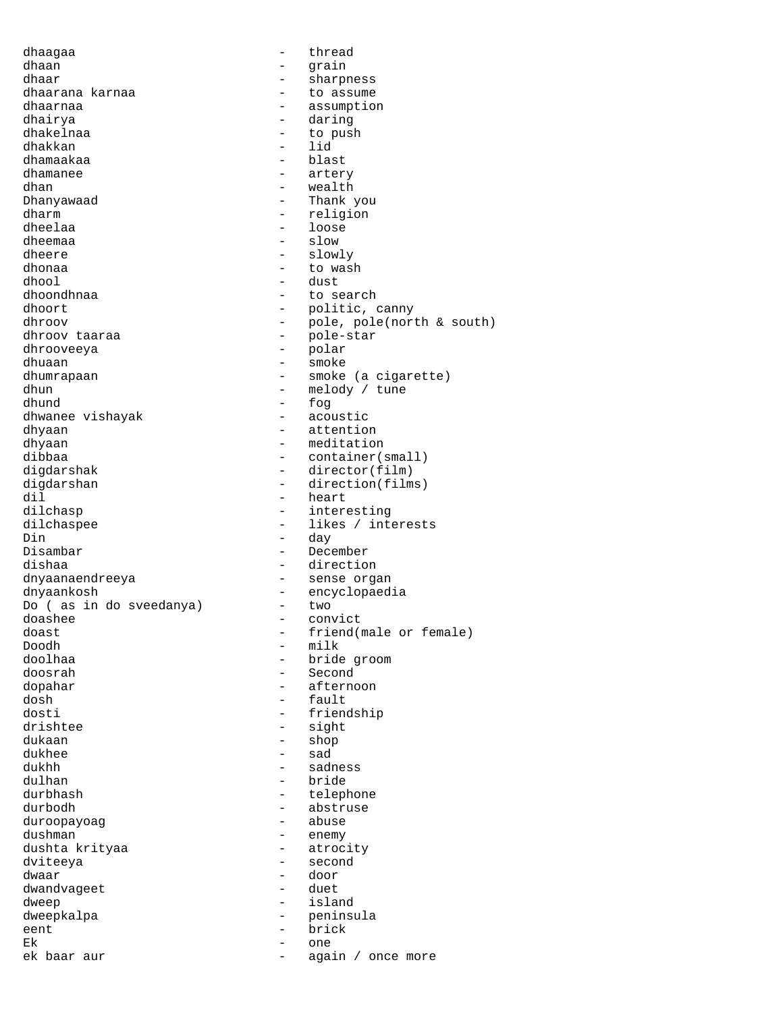dhaaqaa - thread dhaan - grain dhaar - sharpness - to assume dhaarnaa - assumption<br>dhairva - assumption<br>- daring dhairya - daring - to push<br>- lid dhakkan<br>dhamaakaa - blast dhamanee - artery dhan - wealth Dhanyawaad - Thank you dharm - religion dheelaa - loose - loose dheemaa - slow - slow dheere - slowly dhonaa - to wash dhool - dust dhoondhnaa - to search<br>dhoort - to search<br>- politic. dhoort - politic, canny<br>dhroov - pole pole pole pole dhroov  $\begin{array}{cccc} - & 0 & - & 0 \\ - & 0 & - & 0 \\ - & 0 & - & 0 \end{array}$  (north & south) - pole-star<br>- polar dhrooveeya dhuaan - smoke - smoke - smoke - smoke - smoke - smoke - smoke - smoke - smoke - smoke - smoke - smoke - smoke dhumrapaan - smoke (a cigarette)<br>dhun - melody / tune - melody / tune dhund - fog<br>dhwanee vishayak - acoustic dhwanee vishayak dhyaan - attention dhyaan - meditation - meditation - meditation - meditation - meditation - meditation - meditation - meditation dibbaa - container(small)<br>digdarshak - director(film) digdarshak - director(film)<br>digdarshan - direction(film digdarshan - direction(films)<br>dil - heart dil - heart - interesting dilchaspee - likes / interests<br>Din - day Din - day - December dishaa - direction dnyaanaendreeya - sense organ dnyaankosh - encyclopaedia<br>Do (as in do sveedanya) - two Do ( as in do sveedanya) -<br>doashee doashee - convict<br>doast - friend (r doast - friend(male or female)<br>Doodh - milk Doodh - milk doolhaa - bride groom - bride groom - bride groom - bride groom - bride groom - bride groom - bride groom - bride groom - bride groom - bride groom - bride groom - bride groom - bride groom - bride groom - bride groom - br - Second dopahar - afternoon<br>dosh - fault dosh - fault - friendship drishtee - sight dukaan - shop - shop dukhee - sad dukhh - sadness dulhan - bride durbhash - telephone - abstruse<br>- abuse duroopayoag dushman - enemy<br>dushta krityaa - enemy - atrocity dushta krityaa<br>dviteeya - second dwaar - door dwandvageet dweep - island dweepkalpa - peninsula<br>eent - brick<br>- brick eent - brick Ek - one ek baar aur  $-$  again / once more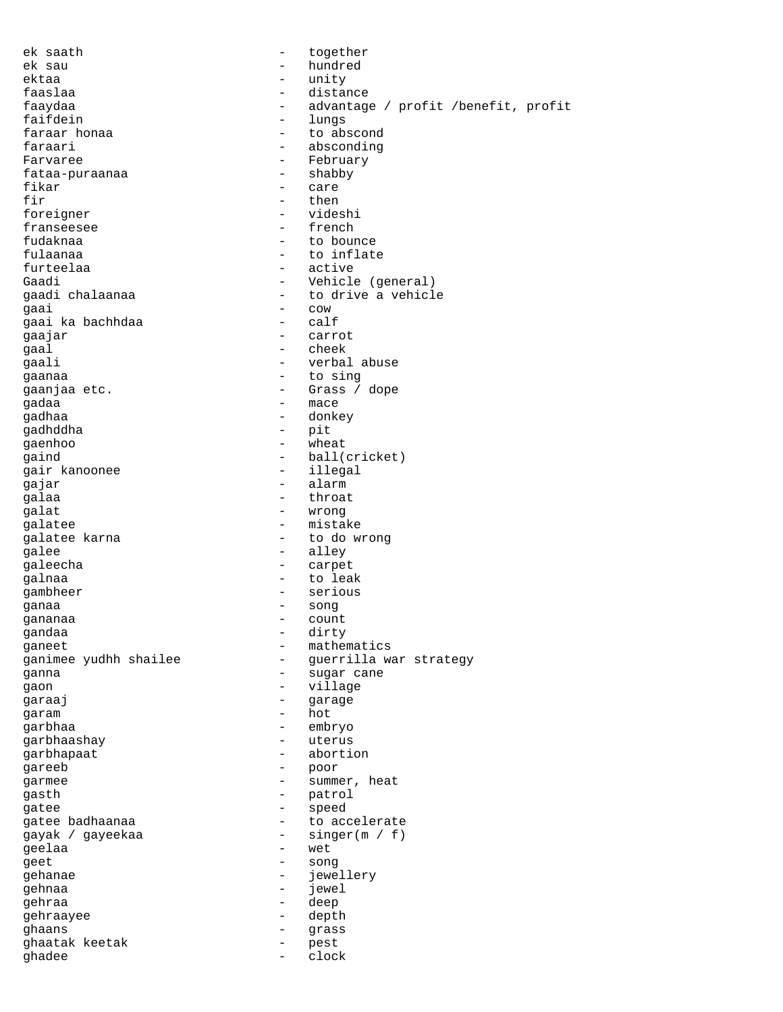| ek saath              |                          | together                            |
|-----------------------|--------------------------|-------------------------------------|
| ek sau                | $\overline{\phantom{0}}$ | hundred                             |
| ektaa                 | $\qquad \qquad -$        | unity                               |
| faaslaa               | $\qquad \qquad -$        | distance                            |
| faaydaa               |                          | advantage / profit /benefit, profit |
| faifdein              | $\qquad \qquad -$        | lungs                               |
| faraar honaa          | $\qquad \qquad -$        | to abscond                          |
| faraari               | $\qquad \qquad -$        | absconding                          |
| Farvaree              | -                        | February                            |
| fataa-puraanaa        | $\overline{\phantom{m}}$ | shabby                              |
| fikar                 | $\qquad \qquad -$        | care                                |
| fir                   | $\overline{\phantom{0}}$ | then                                |
| foreigner             |                          | videshi                             |
| franseesee            | $\overline{\phantom{0}}$ | french                              |
| fudaknaa              | $\overline{\phantom{0}}$ | to bounce                           |
| fulaanaa              | $\overline{\phantom{0}}$ | to inflate                          |
| furteelaa             | $\overline{\phantom{0}}$ | active                              |
| Gaadi                 | $\overline{\phantom{0}}$ | Vehicle (general)                   |
| gaadi chalaanaa       | $\qquad \qquad -$        | to drive a vehicle                  |
| qaai                  | $\overline{\phantom{0}}$ | COW                                 |
| gaai ka bachhdaa      | $\qquad \qquad$          | calf                                |
| gaajar                | $\qquad \qquad$          | carrot                              |
| qaal                  | $\overline{\phantom{0}}$ | cheek                               |
| qaali                 | $\qquad \qquad -$        | verbal abuse                        |
| gaanaa                | $\qquad \qquad -$        | to sing                             |
| gaanjaa etc.          | $\overline{\phantom{0}}$ | Grass / dope                        |
| qadaa                 | $\qquad \qquad -$        | mace                                |
| gadhaa                | -                        | donkey                              |
| qadhddha              | $\qquad \qquad -$        | pit                                 |
| gaenhoo               | $\qquad \qquad -$        | wheat                               |
| qaind                 | $\qquad \qquad -$        | ball(cricket)                       |
| gair kanoonee         | $-$                      | illegal                             |
| gajar                 | $\qquad \qquad -$        | alarm                               |
| galaa                 |                          | throat                              |
| galat                 | $\overline{\phantom{m}}$ |                                     |
| galatee               | $\qquad \qquad -$        | wrong<br>mistake                    |
| galatee karna         | $\qquad \qquad -$        |                                     |
|                       | $\qquad \qquad -$        | to do wrong                         |
| galee                 | $\qquad \qquad -$        | alley                               |
| galeecha              |                          | carpet                              |
| galnaa                | $\overline{\phantom{0}}$ | to leak                             |
| gambheer              | $\qquad \qquad -$        | serious                             |
| ganaa                 | $\overline{\phantom{a}}$ | song                                |
| gananaa               | $\overline{\phantom{0}}$ | count                               |
| qandaa                | -                        | dirty                               |
| qaneet                | -                        | mathematics                         |
| ganimee yudhh shailee |                          | guerrilla war strategy              |
| ganna                 | $\overline{\phantom{0}}$ | sugar cane                          |
| gaon                  | $\qquad \qquad -$        | village                             |
| garaaj                | -                        | garage                              |
| garam                 | $\qquad \qquad -$        | hot                                 |
| qarbhaa               | $\overline{\phantom{0}}$ | embryo                              |
| garbhaashay           | $\qquad \qquad -$        | uterus                              |
| garbhapaat            | -                        | abortion                            |
| gareeb                | $\qquad \qquad -$        | poor                                |
| garmee                | $\qquad \qquad -$        | summer, heat                        |
| gasth                 | -                        | patrol                              |
| gatee                 | -                        | speed                               |
| gatee badhaanaa       | $\qquad \qquad -$        | to accelerate                       |
| gayak / gayeekaa      | $\qquad \qquad -$        | singer(m / f)                       |
| geelaa                | $\qquad \qquad -$        | wet                                 |
| geet                  | $\overline{\phantom{0}}$ | song                                |
| gehanae               | $\qquad \qquad -$        | jewellery                           |
| qehnaa                | $\qquad \qquad -$        | jewel                               |
| gehraa                | $\qquad \qquad -$        | deep                                |
| gehraayee             | $\overline{\phantom{0}}$ | depth                               |
| ghaans                | $\qquad \qquad -$        | grass                               |
| ghaatak keetak        | $\qquad \qquad -$        | pest                                |
| qhadee                | $\qquad \qquad -$        | clock                               |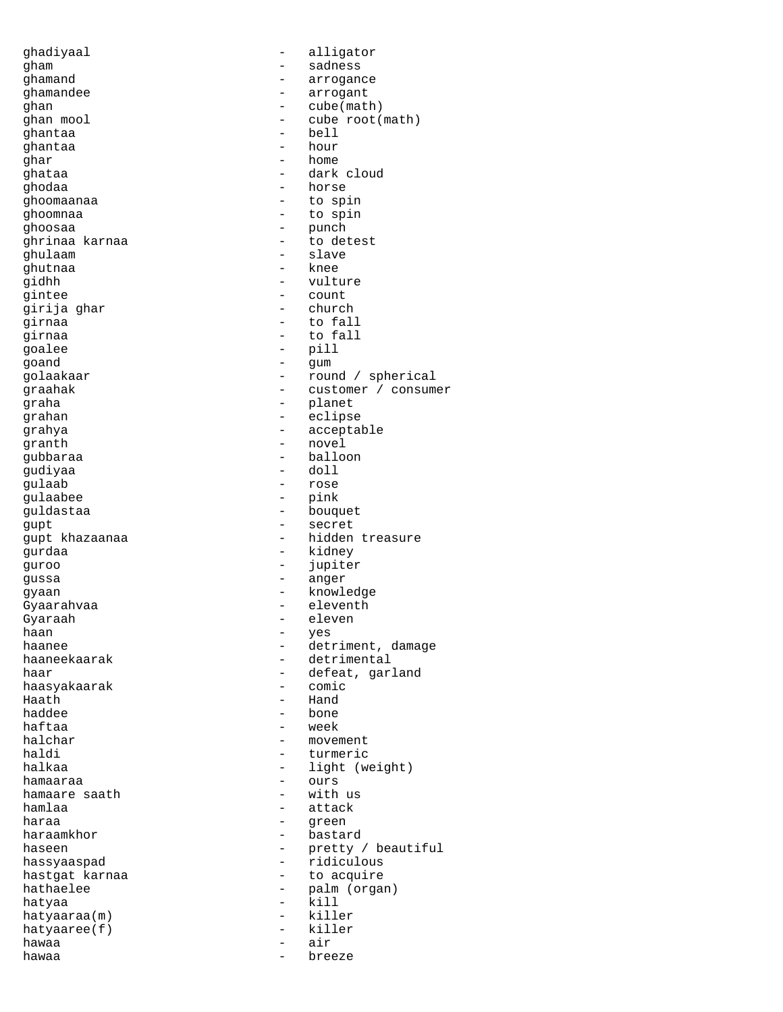ghadiyaal - alligator - aligator<br>gham - sadness - sadness ghamand extensive the contract of the contract of the contract of the contract of the contract of the contract o ghamandee - arrogant ghan  $\qquad \qquad \qquad$  - cube(math)<br>ghan mool - cube root( - cube root(math)<br>- bell ghantaa - bell ghantaa<br>qhar - home ghataa - dark cloud ghodaa - horse - horse - horse - horse - horse - horse - horse - horse - horse - horse - horse - horse - horse - horse - horse - horse - horse - horse - horse - horse - horse - horse - horse - horse - horse - horse - horse ghoomaanaa<br>ghoomnaa - to spin ghoosaa - punch ghrinaa karnaa - to detest ghulaam - slave ghutnaa - knee - vulture<br>- count gintee - count<br>qirija qhar - church - church girija ghar girnaa - to fall - to fall qoalee - pill goand - gum golaakaar - round / spherical graahak - customer / consumer graha - planet grahan - eclipse grahya - acceptable granth - novel gubbaraa - balloon - balloon - balloon - balloon - balloon - balloon - balloon - balloon - balloon - balloon gudiyaa<br>qulaab gulaab - rose - pink guldastaa - bouquet gupt - secret - hidden treasure qurdaa - kidney - kidney guroo - jupiter gussa - anger gyaan - knowledge Gyaarahvaa - eleventh<br>Gyaraah - eleven Gyaraah - eleven<br>haan - eleven haan - yes haanee - detriment, damage haaneekaarak - detrimental haar - defeat, garland<br>haasvakaarak - - comic - comic haasyakaarak Haath - Hand - bone haftaa - week halchar - movement haldi - turmeric - light (weight)<br>- ours hamaaraa - ours hamaare saath  $-$ <br>hamlaa  $$ hamlaa - attack<br>haraa - attack<br>- areen haraa - green - green - green - green - green - green - green - green - green - green - green - green - green - green - green - green - green - green - green - green - green - green - green - green - green - green - green - bastard haseen - pretty / beautiful hassyaaspad - ridiculous hastgat karnaa  $-$  to acquire hathaelee - palm (organ) hatyaa - kill - kill - kill - kill - kill - kill - kill - kill - kill - kill - kill - kill - kill - kill - kill - kill - kill - kill - kill - kill - kill - kill - kill - kill - kill - kill - kill - kill - kill - kill - kil hatyaaraa(m) - killer  $hat{y}$  -  $h$ atyaaree $(f)$ hawaa - air hawaa - breeze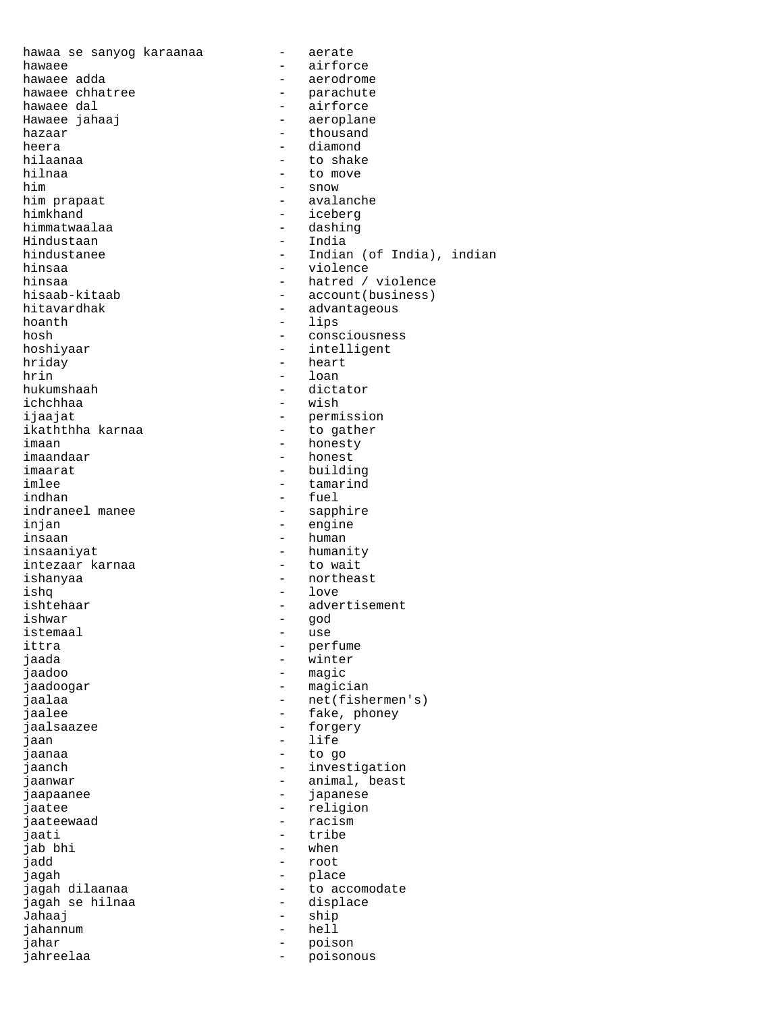hawaa se sanyog karaanaa  $-$  aerate hawaee - airforce hawaee adda - aerodrome hawaee chhatree  $\hspace{1cm}$  - parachute hawaee dal - airforce Hawaee jahaaj - aeroplane  $\begin{tabular}{ccc} hazaar & & \multicolumn{3}{c}{\textbf{the}} \\ \multicolumn{3}{c}{\textbf{the}} \\ \multicolumn{3}{c}{\textbf{the}} \\ \multicolumn{3}{c}{\textbf{the}} \\ \multicolumn{3}{c}{\textbf{the}} \\ \multicolumn{3}{c}{\textbf{the}} \\ \multicolumn{3}{c}{\textbf{the}} \\ \multicolumn{3}{c}{\textbf{the}} \\ \multicolumn{3}{c}{\textbf{the}} \\ \multicolumn{3}{c}{\textbf{the}} \\ \multicolumn{3}{c}{\textbf{the}} \\ \multicolumn{3}{c}{\textbf{the}} \\ \multicolumn{3}{c}{\textbf{the}}$ heera - diamond<br>hilaanaa - diamond - diamond - to shak hilaanaa - to shake - to shake - to shake - to shake - to shake - to shake - to shake - to shake - to move - to move him - snow him prapaat  $\qquad \qquad -$  avalanche himkhand  $\qquad \qquad -$  iceberg - iceberg himmatwaalaa - dashing - dashing Hindustaan - India hindustanee - - - - - - - - - - - Indian (of India), indian hinsaa - violence hinsaa - violence hinsaa - violence hinsaa - violence - violence - violence - violence - violence - violence - violence - violence - violence - violence - violence - violence - violence - violence - viole hinsaa - hatred / violence<br>hisaab-kitaab - - hatred / violence hisaab-kitaab - account(business)<br>hitavardhak - advantageous hitavardhak - advantageous<br>hoanth - lins hoanth - lips<br>hosh - conse hosh - consciousness - intelligent hriday - heart - heart - heart - heart - heart - heart - heart - heart - heart - heart - heart - heart - heart - heart - heart - heart - heart - heart - heart - heart - heart - heart - heart - heart - heart - heart - heart hrin - loan<br>hukumshaah - dicta - dictator ichchhaa - wish ijaajat - permission ikaththha karnaa imaan - honesty imaandaar - honest imaarat - building imlee - tamarind - tamarind - tamarind - tamarind - tamarind - tamarind - tamarind - tamarind - tamarind - tam indhan - fuel<br>indraneel manee - - sappl - sapphire injan - engine insaan - human insaaniyat - humanity intezaar karnaa ishanyaa - northeast ishq - love - advertisement ishwar - god istemaal - use<br>ittra - per ittra - perfume jaada - winter jaadoo - magic jaadoogar - magician - net(fishermen's) jaalee - fake, phoney jaalsaazee - forgery jaan - life jaanaa - to go jaanch - investigation<br>iaanwar - investigation<br>animal, beast jaanwar - animal, beast<br>jaanaanee - - - - - - - - - - - japanese jaapaanee - japanese jaatee - religion - religion<br>jaateewaad - racism - racism jaateewaad - racism - racism<br>jaati - tribe - tribe<br>- when jab bhi jadd - root jagah - place - to accomodate<br>- displace jagah se hilnaa Jahaaj - ship<br>jahannum - hell - hell jahannum jahar - poison jahreelaa - poisonous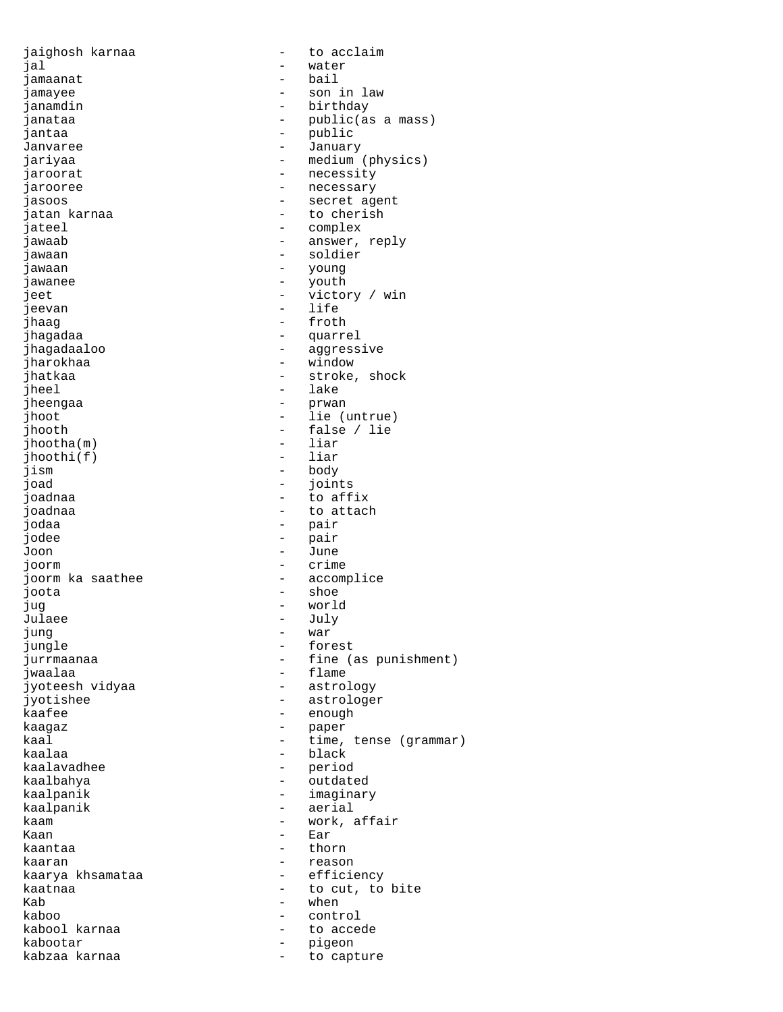| jaighosh karnaa  |                          | to acclaim               |
|------------------|--------------------------|--------------------------|
| jal              |                          | water                    |
| jamaanat         |                          | bail                     |
| jamayee          |                          | son in law               |
| janamdin         |                          | birthday                 |
| janataa          |                          | public(as a mass)        |
| jantaa           | $\qquad \qquad -$        | public                   |
| Janvaree         |                          | January                  |
| jariyaa          |                          | medium (physics)         |
| jaroorat         |                          | necessity                |
| jarooree         |                          | necessary                |
| jasoos           |                          | secret agent             |
| jatan karnaa     |                          | to cherish               |
| jateel           |                          | complex                  |
|                  |                          |                          |
| jawaab           | $\qquad \qquad -$        | answer, reply<br>soldier |
| jawaan           |                          |                          |
| jawaan           |                          | young                    |
| jawanee          |                          | youth                    |
| jeet             |                          | victory / win            |
| jeevan           | $\overline{\phantom{0}}$ | life                     |
| jhaaq            |                          | froth                    |
| jhaqadaa         |                          | quarrel                  |
| jhagadaaloo      |                          | aggressive               |
| jharokhaa        | $\overline{\phantom{0}}$ | window                   |
| jhatkaa          |                          | stroke, shock            |
| jheel            |                          | lake                     |
| jheengaa         |                          | prwan                    |
| jhoot            | $\overline{\phantom{0}}$ | lie (untrue)             |
| jhooth           |                          | false / lie              |
| $j$ hootha $(m)$ |                          | liar                     |
|                  |                          | liar                     |
| $j$ hoothi $(f)$ |                          |                          |
| jism             | $\qquad \qquad -$        | body                     |
| joad             |                          | joints                   |
| joadnaa          |                          | to affix                 |
| joadnaa          |                          | to attach                |
| jodaa            | $\qquad \qquad -$        | pair                     |
| jodee            | -                        | pair                     |
| Joon             | $\qquad \qquad -$        | June                     |
| joorm            |                          | crime                    |
| joorm ka saathee | $\qquad \qquad -$        | accomplice               |
| joota            | $\qquad \qquad -$        | shoe                     |
| jug              |                          | world                    |
| Julaee           |                          | July                     |
| jung             |                          | war                      |
| jungle           |                          | forest                   |
| jurrmaanaa       |                          | fine (as punishment)     |
| jwaalaa          |                          | flame                    |
|                  |                          |                          |
| jyoteesh vidyaa  |                          | astrology                |
| jyotishee        | -                        | astrologer               |
| kaafee           | -                        | enough                   |
| kaaqaz           |                          | paper                    |
| kaal             |                          | time, tense (grammar)    |
| kaalaa           | $\qquad \qquad -$        | black                    |
| kaalavadhee      |                          | period                   |
| kaalbahya        |                          | outdated                 |
| kaalpanik        |                          | imaginary                |
| kaalpanik        | $\overline{\phantom{0}}$ | aerial                   |
| kaam             |                          | work, affair             |
| Kaan             |                          | Ear                      |
| kaantaa          |                          | thorn                    |
| kaaran           |                          | reason                   |
| kaarya khsamataa |                          | efficiency               |
|                  |                          |                          |
| kaatnaa          |                          | to cut, to bite          |
| Kab              |                          | when                     |
| kaboo            |                          | control                  |
| kabool karnaa    |                          | to accede                |
| kabootar         |                          | pigeon                   |
| kabzaa karnaa    | $\qquad \qquad -$        | to capture               |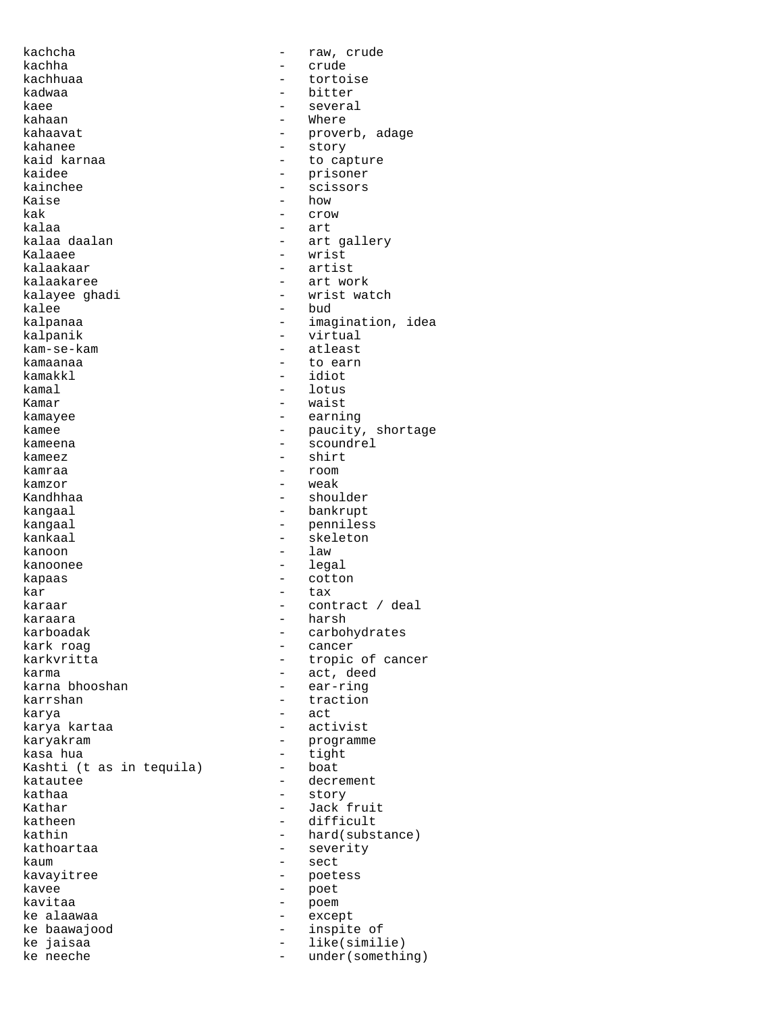kachcha - raw, crude kachha - crude - crude - crude - crude - crude - crude - crude - crude - crude - crude - crude - crude - crude kachhuaa - tortoise kadwaa - bitter kaee - several - several - several - several - several - several - several - several - several - several - several - several - several - several - several - several - several - several - several - several - several - sever kahaan - Where kahaavat - proverb, adage kahanee - story<br>kaid karnaa - story - story - story kaid karnaa - to capture<br>kaidee - to capture - to capture kaidee - prisoner - prisoner - prisoner - prisoner - prisoner - prisoner - prisoner - prisoner - prisoner - prisoner - prisoner - prisoner - prisoner - prisoner - prisoner - prisoner - prisoner - prisoner - prisoner - pris kainchee - scissors - scissors<br>Kaise - how Kaise - how<br>kak - crow - crow kalaa - art kalaa daalan - art gallery - wrist<br>- artist kalaakaar - artista artista kalaakaree - artista artista artista artista artista artista artista artista artis<br>Tarista artista artista artista artista artista artista artista artista artista artista artista artista artist art work kalayee ghadi - wrist watch kalee - bud<br>kalpanaa - bud - bud - imag kalpanaa - imagination, idea<br>kalpanik - imagination, idea kalpanik - virtual<br>kam-se-kam - - atleast - atleast kamaanaa - to earn kamakkl - to earn kamakkl - to earn - to earn - to earn - to earn - to earn - to earn - to earn - to earn - to earn - to earn - to earn - to earn - to earn - to earn - to earn - to earn - to earn - to ea kamakkl - idiot - lotus Kamar - waist - waist - waist - waist - waist - waist - waist - waist - waist - waist - waist - waist - waist - waist - waist - waist - waist - waist - waist - waist - waist - waist - waist - waist - waist - waist - waist - earning kamee - paucity, shortage kameena - scoundrel<br>kameez - shirt kameez - shirt<br>kamraa - shirt kamraa - room kamzor - weak - shoulder kangaal - bankrupt kangaal - penniless<br>
kankaal - skeleton - skeleton kanoon - law kanoonee - legal kapaas - cotton kar - tax - contract / deal karaara - harsh - harsh - harsh - harsh - harsh - harsh - harsh - harsh - harsh - harsh - harsh - harsh - harsh - harsh - harsh - harsh - harsh - harsh - harsh - harsh - harsh - harsh - harsh - harsh - harsh - harsh - hars karboadak - carbohydrates<br>kark roag - cancer - cancer kark roag - cancer karkvritta - tropic of cancer<br>karma - tropic of cancer<br>- act. deed - act, deed<br>- ear-ring karna bhooshan karrshan - traction karya  $-$  act karya kartaa  $\overline{\phantom{a}}$  - activist karyakram - programme kasa hua - tight Kashti (t as in tequila) katautee - decrement kathaa - story Kathar - Jack fruit katheen - difficult<br>kathin - hard(subs) - hard(substance) kathoartaa  $-$  severity kaum - sect kavayitree - poetess kavee - poet kavitaa - poem ke alaawaa  $\overline{\phantom{a}}$  - except ke baawajood - inspite of ke jaisaa  $\begin{array}{ccc} - & 1$ ike(similie)<br>ke neeche behaar - under(somethi under(something)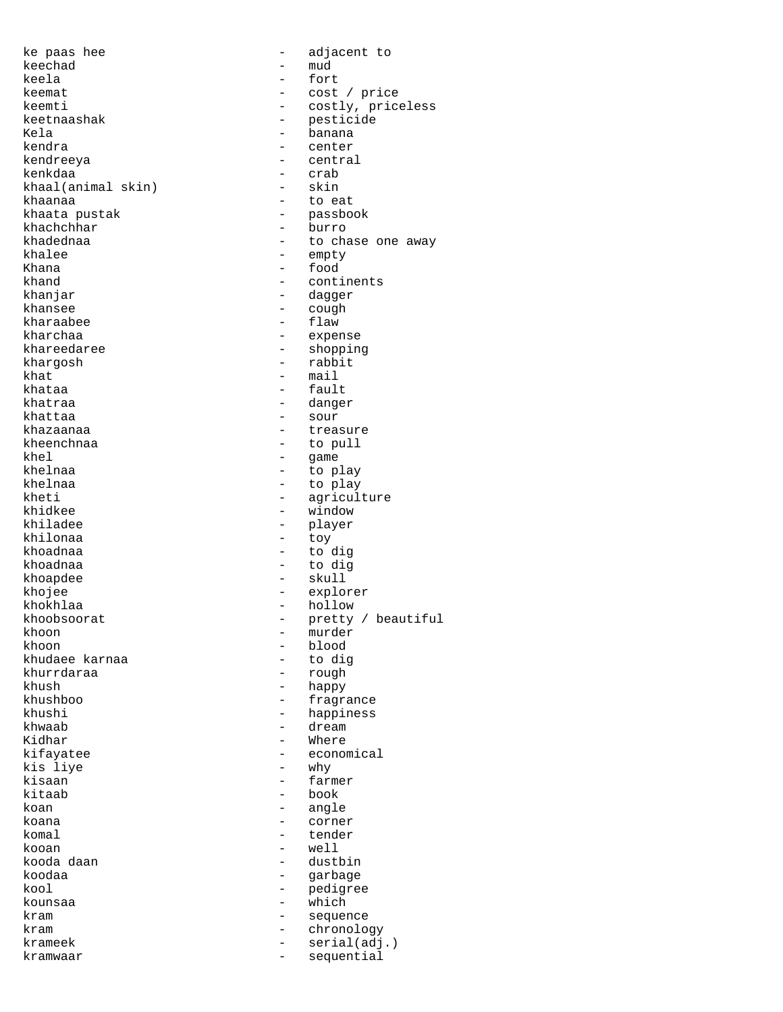ke paas hee  $-$  adjacent to keechad – mud<br>keela – fort keela - fort keemat - cost / price keemti - costly, priceless<br>keetnaashak - pesticide - pesticide keetnaashak - pesticide<br>Kela - banana Kela - banana - banana - banana - banana - banana - banana - banana - banana - banana - banana - banana - banana - banana - banana - banana - banana - banana - banana - banana - banana - banana - banana - banana - banana kendra - center - central kenkdaa - crab<br>khaal(animal skin) - skin khaal(animal skin)<br>khaanaa khaanaa - to eat<br>khaata pustak - to eat - passbook<br>- burro khachchhar khadednaa - to chase one away<br>khalee - to chase one away khalee - empty Khana - food khand - continents<br>
khanjar - continents<br>
- dagger khanjar - dagger - cough<br>- flaw kharaabee<br>kharchaa - expense khareedaree - shopping<br>
kharqosh - shopping<br>
- rabbit khargosh - rabbit khat - mail khataa - fault - danger khattaa - sour khazaanaa - treasure - treasure kheenchnaa - to pull<br>khel - to pull<br>- qame khel - game khelnaa - to play<br>khelnaa - to play - to play khelnaa - to play<br>kheti - aaricul kheti - agriculture - agriculture - agriculture - agriculture - agriculture - agriculture -  $\frac{1}{2}$ khidkee - window<br>khiladee - window<br>- player - player<br>- toy khilonaa<br>khoadnaa - to dig khoadnaa - to dig khoapdee - skull khojee - explorer khokhlaa - hollow - hollow - hollow - hollow - hollow - hollow - hollow - hollow - hollow - hollow - hollow -  $\sim$  hollow -  $\sim$  hollow -  $\sim$  hollow -  $\sim$  hollow -  $\sim$  hollow -  $\sim$  hollow -  $\sim$  hollow -  $\sim$  hollow khoobsoorat - pretty / beautiful<br>khoon - murder khoon - murder - murder - murder - murder - murder - murder - murder - blood - blood<br>- to dig khudaee karnaa - to dig khurrdaraa<br>khush khush - happy<br>khushboo - happy - happy khushboo - fragrance - happiness khwaab - dream - dream Kidhar - Where kifayatee - economical kis liye - why kisaan - farmer - farmer - farmer - farmer - farmer - farmer - farmer - farmer - farmer - farmer - farmer - farmer - farmer - farmer - farmer - farmer - farmer - farmer - farmer - farmer - farmer - farmer - farmer - farmer kitaab - book koan - angle koana - corner - corner - corner - corner - corner - corner - corner - corner - corner - corner - corner - corner - corner - corner - corner - corner - corner - corner - corner - corner - corner - corner - corner - corner - tender kooan - well kooda daan - dustbin - garbage kool - pedigree kounsaa - which - which kram - sequence kram - chronology<br>
krameek - chronology<br>
- serial(adj krameek - serial(adj.)<br>kramwaar - seguential kramwaar - sequential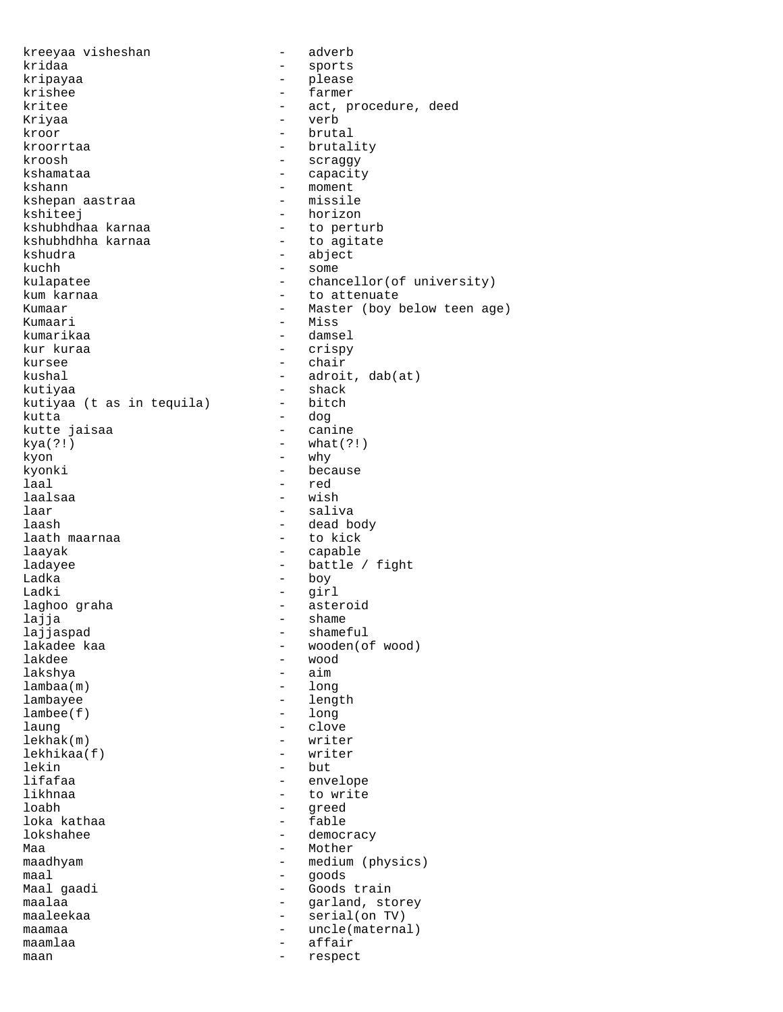kreeyaa visheshan - adverb kridaa - sports kripayaa - please krishee - farmer - farmer kritee  $\qquad \qquad -$  act, procedure, deed Kriyaa - verb kroor - brutal kroorrtaa - brutality kroosh - scraggy kshamataa  $-$  capacity kshann - moment kshepan aastraa kshiteej - horizon<br>kshubhdhaa karnaa - - - - - - - - - to perturb kshubhdhaa karnaa - to perturb kshubhdhha karnaa<br>kshudra kuchh - some kulapatee - chancellor(of university) kum karnaa - to attenuate<br>Kumaar - to attenuate - Kumaar - to attenuate - to attenuate - to attenuate - to attenuate - to attenuate - to Kumaar - Master (boy below teen age)<br>Kumaari - Miss Kumaari - Miss kumarikaa - damsel<br>kurkuraa - - damsel - damsel kursee - chair kushal - adroit, dab(at) kutiyaa - shack kutiyaa (t as in tequila) kutta - dog kutte jaisaa  $kya(?)$  - what(?!) kyon  $-$  why kyonki - because laal - red laar - saliva laash - dead body laath maarnaa laayak - capable ladayee - battle / fight Ladka - boy Ladki - girl laghoo graha  $-$  asteroid lajja - shame - shame<br>lajjaspad - shame: - shame lajjaspad - shameful lakadee kaa - wooden(of wood)<br>lakdee - wood - wood lakdee - wood lambaa(m) - long lambayee - length<br>lambee(f) - long  $l$ ambee $(f)$ laung - clove lekhak(m) - writer lekhikaa(f) - writer lekin - but lifafaa - envelope - envelope - envelope - envelope - envelope - envelope - envelope - envelope - envelope - to likhnaa - to write<br>loabh - to write loka kathaa<br>lokshahee Maa - Mother maadhyam - medium (physics) maal - goods - goods - goods - goods - goods - goods - goods - goods - goods - goods - goods - goods - goods maalaa - - - - - - - - - - garland, storey maaleekaa - serial(on TV) maamaa - uncle(maternal) maamlaa - affair maan - respect

- abject - crispy - wish - aim - greed<br>- fable - democracy - Goods train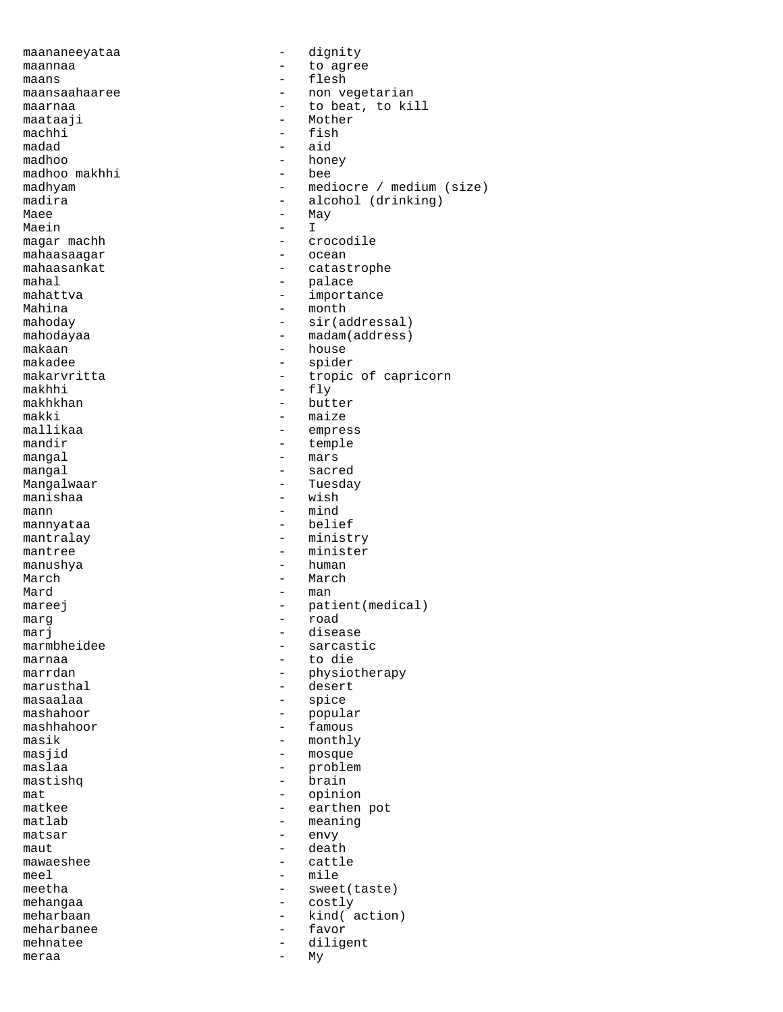maananeeyataa - dignity maannaa - to agree maans - flesh maansaahaaree - 1000 - non vegetarian maarnaa - to beat, to kill maataaji - Mother - Mother - Mother - Mother - Mother - Mother - Subsetting and American structure of the Subsetting Subsetting and American structure of the Subsetting Subsetting and American structure of the Subsetting S machhi - fish madad - aid - honey<br>- bee madhoo makhhi<br>madhyam madhyam - mediocre / medium (size)<br>madira - alcohol (drinking) madira - alcohol (drinking) - May<br>- I Maein magar machh - crocodile mahaasaagar<br>mahaasankat mahaasankat - catastrophe mahal - catastrophe - catastrophe - catastrophe - catastrophe - catastrophe - catastrophe - catastrophe - catastrophe - catastrophe - catastrophe - catastrophe - catastrophe - catastrophe - catast mahal - palace mahattva - importance Mahina  $-\text{month}$  - month  $-\text{sin}(a)$ mahoday - sir(addressal) - madam(address) makaan  $\begin{array}{ccc} \text{makaan} & - & \text{house} \\ \text{makadee} & - & \text{spiden} \end{array}$ makadee - spider<br>makarvritta - tropic makarvritta - tropic of capricorn<br>makhhi - flv - fly makhkhan - butter makki - maize mallikaa - empress<br>mandir - temple - temple mangal  $-$  mars mangal - sacred - Tuesday<br>- wish manishaa mann  $\frac{1}{2}$  mind<br>mannvataa  $\frac{1}{2}$  mind mannyataa mantralay  $-$  ministry mantree  $-$  minister manushya - human March - March Mard - man - man - man - man - man - man - man - man - man - man - man - man - man - man - man - man - man - man - man - man - man - man - man - man - man - man - man - man - man - man - man - man - man - man - man - man mareej enterprise and the patient (medical) marg - road marj - disease marmbheidee - sarcastic<br>marnaa - to die - sarcastic marnaa - to die marrdan - physiotherapy<br>marusthal - desert - desert masaalaa - spice - popular mashhahoor - famous masik - monthly<br>masjid - mosque - mosque<br>- problem maslaa - problem<br>mastishq - brain - brain mastishq - brain brain brain brain brain brain brain brain brain brain brain brain brain brain brain brain bra<br>- brain brain brain brain brain brain brain brain brain brain brain brain brain brain brain brain brain brain mat - opinion matkee - earthen pot<br>matlab - meaning - meaning<br>- envy  $matsar$ maut death and death and death death and death death and death death and death death and death and death and death  $\sim$ mawaeshee - cattle meel – mile<br>meetha – sweet - sweet(taste) mehangaa - costly meharbaan - kind( action)<br>meharbanee - favor meharbanee - favor - favor - favor - favor - favor - favor - favor - favor - favor - favor - favor - favor - favor - favor - favor - favor - favor - favor - favor - favor - favor - favor - favor - favor - favor - favor - f mehnatee - diligent<br>meraa - My meraa - My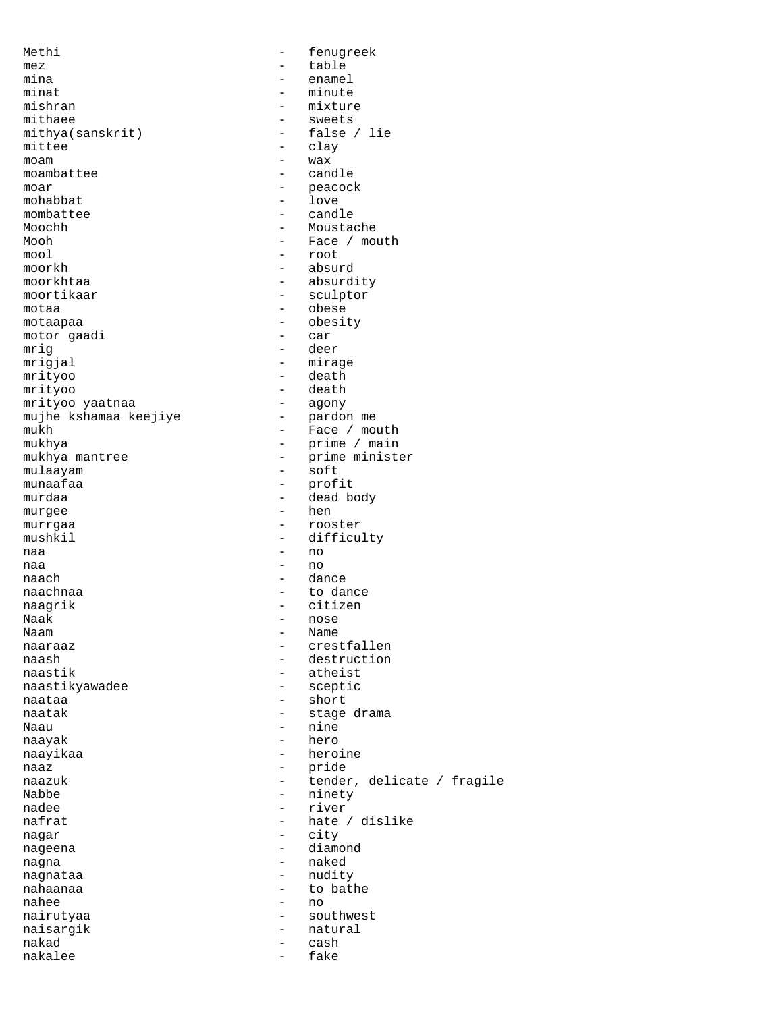Methi  $-$  fenugreek mez - table mina - enamel minat - minute mishran - minute - minute - minute - minute - minute - minute - minute - minute - minute - minute - minute - minute - minute - minute - minute - minute - minute - minute - minute - minute - minute - minute -- mixture<br>- sweets mithaee - sweets<br>mithya(sanskrit) - false / lie mithya(sanskrit)<br>mittee mittee - clay<br>moam - wax - wax - wax<br>- candle moambattee moar - peacock<br>mohabbat - 10ve mohabbat - love<br>mombattee - cand - candle Moochh - Moustache Mooh - Face / mouth mool - root moorkh - absurd moorkhtaa - absurdity - sculptor motaa - obese motaapaa - obesity motor gaadi mrig - deer<br>mrigial - mira mrigjal - mirage<br>mrityoo - death mrityoo - death - death - death - death - death - death - death - death - death - death - death - death - death - death - death - death - death - death - death - death - death - death - death - death - death - death - deat - death<br>- agony mrityoo yaatnaa - agony mujhe kshamaa keejiye<br>mukh mukh - Face / mouth mukhya mantree  $\begin{array}{ccc} - & \text{prime / main} \\ - & \text{prime / main} \\ \end{array}$ - prime minister<br>- soft mulaayam<br>munaafaa munaafaa - profit<br>murdaa - baad - dead b - dead body murgee hen hen andere behandliche behandliche behandliche behandliche behandliche behandliche behandliche behandliche behandliche behandliche behandliche behandliche behandliche behandliche behandliche behandliche behandli murrgaa - rooster mushkil - difficulty naa - no naa - no naach - dance naachnaa - to dance naagrik - citizen<br>Naak - communist - citizen Naak - nose - Name naaraaz - crestfallen naash - destruction<br>naastik - atheist - atheist<br>- sceptic naastikyawadee naataa - short - short naatak  $-$  stage drama Naau - nine naayak - hero naayikaa - heroine naaz - pride naazuk - tender, delicate / fragile<br>Nabbe - hinety - hinety Nabbe - ninety nadee  $-$  river<br>nafrat  $-$  hate - hate / dislike nagar - city nageena - diamond nagna - naked nagnataa - nudity nahaanaa - to bathe nahee  $-$  no<br>nairutvaa  $-$  sou nairutyaa - southwest naisargik - natural<br>nakad - cash - cash nakad - cash - cash - cash - cash - cash - cash - cash - cash - cash - cash - cash - cash - cash - cash - cash nakalee - fake - fake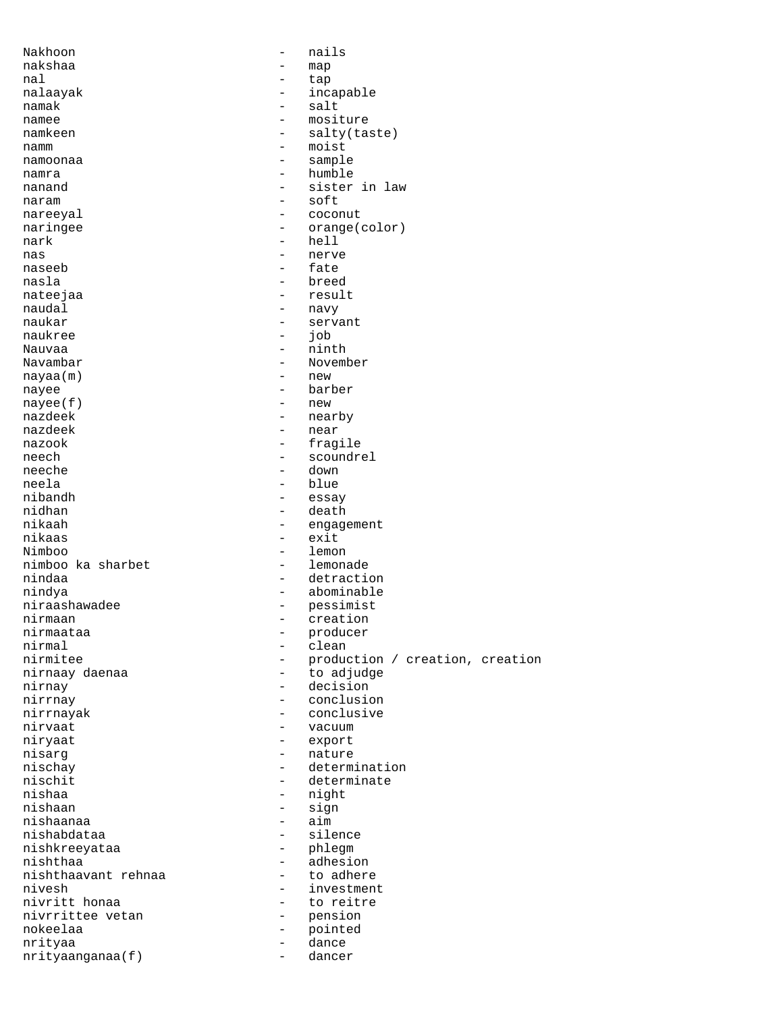| Nakhoon              |                          | nails                           |
|----------------------|--------------------------|---------------------------------|
| nakshaa              | $\overline{\phantom{0}}$ | map                             |
| nal                  | $\overline{\phantom{0}}$ | tap                             |
| nalaayak             | $\overline{\phantom{0}}$ | incapable                       |
| namak                |                          | salt                            |
| namee                | $\overline{\phantom{0}}$ | mositure                        |
| namkeen              | $\qquad \qquad -$        | salty(taste)                    |
| namm                 | $\qquad \qquad -$        | moist                           |
| namoonaa             |                          | sample                          |
| namra                | $\overline{\phantom{0}}$ | humble                          |
| nanand               | $-$<br>$-$               | sister in law<br>soft           |
| naram                | $-$                      | coconut                         |
| nareeyal<br>naringee | $\overline{\phantom{0}}$ | orange(color)                   |
| nark                 | $-$                      | hell                            |
| nas                  |                          | nerve                           |
| naseeb               | $\overline{\phantom{0}}$ | fate                            |
| nasla                | $\overline{\phantom{0}}$ | breed                           |
| nateejaa             | $-$                      | result                          |
| naudal               | $-$                      | navy                            |
| naukar               | $\overline{\phantom{0}}$ | servant                         |
| naukree              | $\overline{\phantom{0}}$ | job                             |
| Nauvaa               | $-$                      | ninth                           |
| Navambar             | $-$                      | November                        |
| nayaa(m)             | $\overline{\phantom{0}}$ | new                             |
| nayee                | $\equiv$                 | barber                          |
| nayee(f)             | $\overline{\phantom{0}}$ | new                             |
| nazdeek              | $-$                      | nearby                          |
| nazdeek              | $\overline{\phantom{0}}$ | near                            |
| nazook               |                          | fragile                         |
| neech                | $\overline{\phantom{0}}$ | scoundrel                       |
| neeche               | $-$                      | down                            |
| neela                | $\qquad \qquad -$        | blue                            |
| nibandh              |                          | essay                           |
| nidhan               | $\overline{\phantom{0}}$ | death                           |
| nikaah               | $-$                      | engagement                      |
| nikaas               | $-$                      | exit                            |
| Nimboo               | $-$                      | lemon                           |
| nimboo ka sharbet    | $\overline{\phantom{0}}$ | lemonade                        |
| nindaa               | $-$                      | detraction                      |
| nindya               | $-$                      | abominable                      |
| niraashawadee        | $\qquad \qquad -$        | pessimist                       |
| nirmaan              |                          | creation                        |
| nirmaataa<br>nirmal  | $\qquad \qquad -$        | producer<br>clean               |
| nirmitee             |                          | production / creation, creation |
| nirnaay daenaa       | $\overline{\phantom{0}}$ | to adjudge                      |
| nirnay               | $ \,$                    | decision                        |
| nirrnay              |                          | conclusion                      |
| nirrnayak            |                          | conclusive                      |
| nirvaat              |                          | vacuum                          |
| niryaat              | $-$                      | export                          |
| nisarq               | $-$                      | nature                          |
| nischay              |                          | determination                   |
| nischit              |                          | determinate                     |
| nishaa               | $\overline{\phantom{0}}$ | night                           |
| nishaan              | $-$                      | sign                            |
| nishaanaa            | $\overline{\phantom{0}}$ | aim                             |
| nishabdataa          |                          | silence                         |
| nishkreeyataa        | $-$                      | phlegm                          |
| nishthaa             | $\overline{\phantom{0}}$ | adhesion                        |
| nishthaavant rehnaa  |                          | to adhere                       |
| nivesh               |                          | investment                      |
| nivritt honaa        | $\equiv$                 | to reitre                       |
| nivrrittee vetan     | $-$                      | pension                         |
| nokeelaa             | $-$                      | pointed                         |
| nrityaa              | $\overline{\phantom{0}}$ | dance                           |
| nrityaanganaa(f)     | $\overline{\phantom{a}}$ | dancer                          |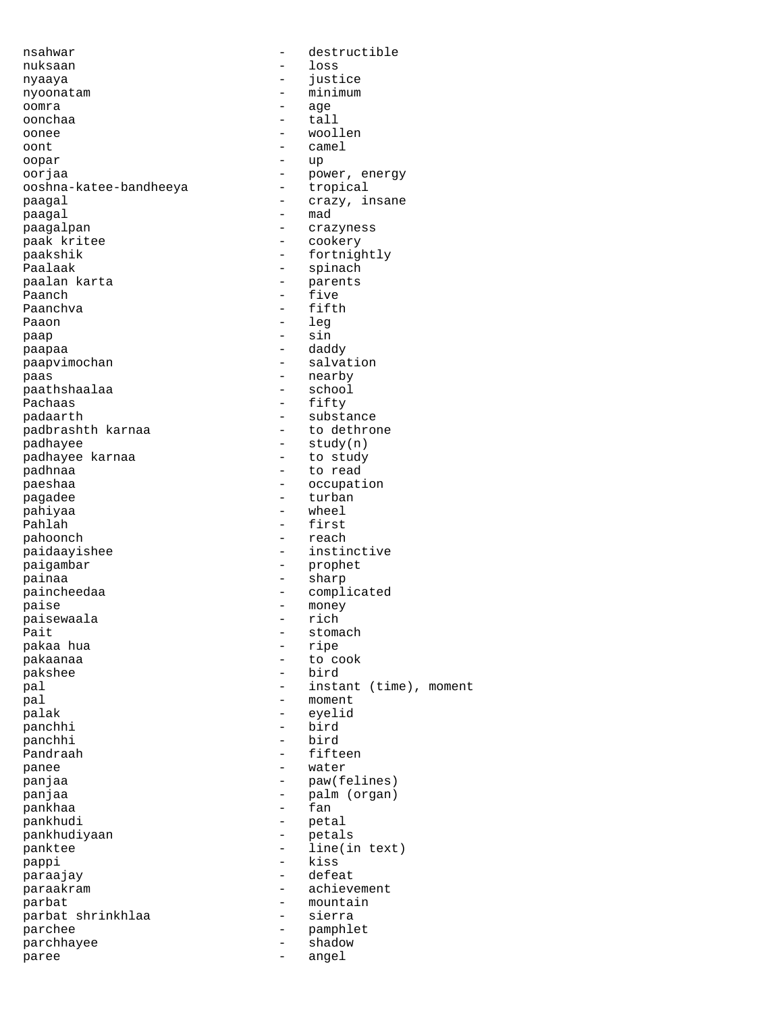| nsahwar                |                          | destructible           |
|------------------------|--------------------------|------------------------|
| nuksaan                |                          | loss                   |
| nyaaya                 |                          | justice                |
| nyoonatam              |                          | minimum                |
| oomra                  |                          | age                    |
| oonchaa                | -                        | tall                   |
| oonee                  |                          | woollen                |
|                        | -                        |                        |
| oont                   |                          | camel                  |
| oopar                  |                          | up                     |
| oorjaa                 | -                        | power, energy          |
| ooshna-katee-bandheeya | -                        | tropical               |
| paagal                 | -                        | crazy, insane          |
| paagal                 |                          | mad                    |
| paagalpan              | -                        | crazyness              |
| paak kritee            | -                        | cookery                |
| paakshik               | $\overline{\phantom{0}}$ | fortnightly            |
| Paalaak                | -                        |                        |
|                        |                          | spinach                |
| paalan karta           | $\overline{\phantom{0}}$ | parents                |
| Paanch                 | -                        | five                   |
| Paanchva               |                          | fifth                  |
| Paaon                  | $\overline{\phantom{0}}$ | leg                    |
| раар                   | $\overline{\phantom{0}}$ | sin                    |
| paapaa                 | $\qquad \qquad -$        | daddy                  |
| paapvimochan           | $\qquad \qquad -$        | salvation              |
| paas                   | -                        | nearby                 |
|                        |                          |                        |
| paathshaalaa           | $\overline{\phantom{0}}$ | school                 |
| Pachaas                | $\qquad \qquad -$        | fifty                  |
| padaarth               | -                        | substance              |
| padbrashth karnaa      | -                        | to dethrone            |
| padhayee               | $\overline{\phantom{0}}$ | study(n)               |
| padhayee karnaa        | -                        | to study               |
| padhnaa                |                          | to read                |
| paeshaa                | -                        | occupation             |
|                        |                          | turban                 |
| pagadee                |                          |                        |
| pahiyaa                | -                        | wheel                  |
| Pahlah                 |                          | first                  |
| pahoonch               | $-$                      | reach                  |
| paidaayishee           |                          | instinctive            |
| paigambar              | -                        | prophet                |
| painaa                 | $-$                      | sharp                  |
| paincheedaa            | $\overline{\phantom{0}}$ | complicated            |
| paise                  | -                        | money                  |
|                        |                          | rich                   |
| paisewaala             |                          |                        |
| Pait                   |                          | stomach                |
| pakaa hua              |                          | ripe                   |
| pakaanaa               |                          | to cook                |
| pakshee                | $\overline{\phantom{0}}$ | bird                   |
| pal                    | -                        | instant (time), moment |
| pal                    |                          | moment                 |
| palak                  |                          | eyelid                 |
| panchhi                | $\overline{\phantom{0}}$ | bird                   |
|                        |                          |                        |
| panchhi                | $\overline{\phantom{0}}$ | bird                   |
| Pandraah               | $\overline{\phantom{0}}$ | fifteen                |
| panee                  | -                        | water                  |
| panjaa                 | -                        | paw(felines)           |
| panjaa                 | -                        | palm (organ)           |
| pankhaa                |                          | fan                    |
| pankhudi               | -                        | petal                  |
| pankhudiyaan           | -                        | petals                 |
|                        |                          |                        |
| panktee                | -                        | line(in text)          |
| pappi                  | -                        | kiss                   |
| paraajay               | $\overline{\phantom{0}}$ | defeat                 |
| paraakram              |                          | achievement            |
| parbat                 | -                        | mountain               |
| parbat shrinkhlaa      | -                        | sierra                 |
| parchee                | -                        | pamphlet               |
| parchhayee             | $-$                      | shadow                 |
| paree                  | $\overline{\phantom{0}}$ | angel                  |
|                        |                          |                        |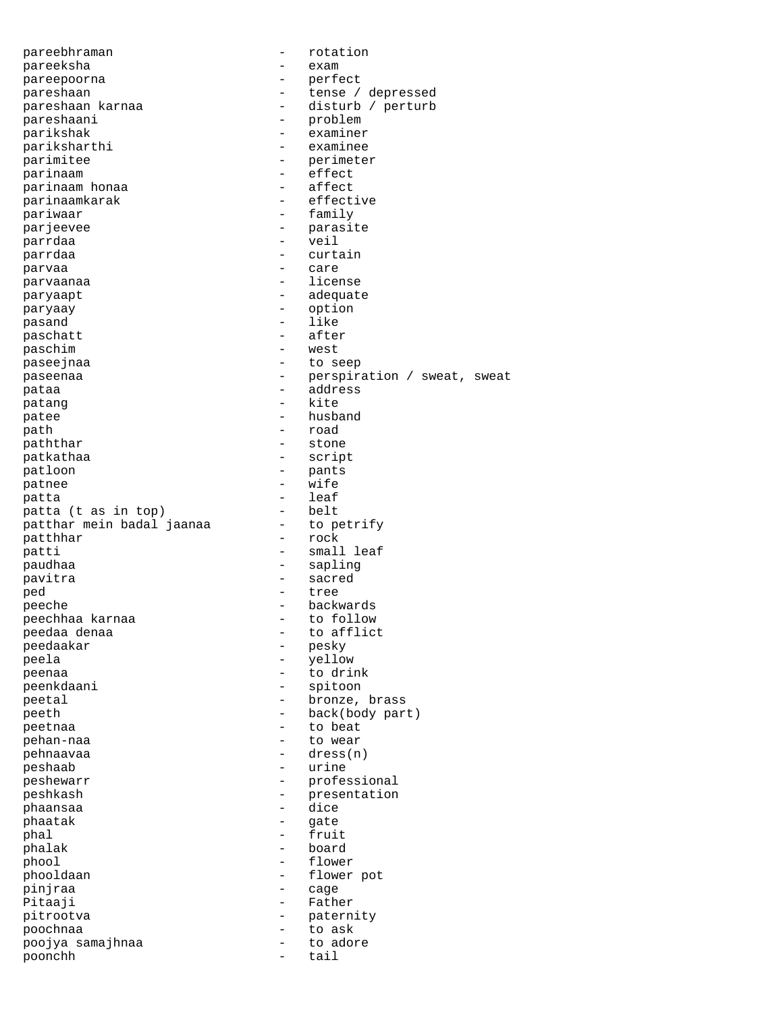| pareebhraman                |                          | rotation                    |
|-----------------------------|--------------------------|-----------------------------|
| pareeksha                   | -                        | exam                        |
| pareepoorna                 |                          | perfect                     |
| pareshaan                   |                          | tense / depressed           |
| pareshaan karnaa            |                          | disturb / perturb           |
| pareshaani                  | $\qquad \qquad -$        | problem                     |
| parikshak                   | -                        | examiner                    |
| pariksharthi                |                          | examinee                    |
| parimitee                   |                          | perimeter                   |
| parinaam                    | $\overline{\phantom{0}}$ | effect                      |
| parinaam honaa              | $\overline{\phantom{0}}$ | affect                      |
| parinaamkarak               |                          | effective                   |
| pariwaar                    |                          | family                      |
|                             |                          |                             |
| parjeevee                   |                          | parasite                    |
| parrdaa                     | $\overline{\phantom{0}}$ | veil                        |
| parrdaa                     |                          | curtain                     |
| parvaa                      | $\overline{\phantom{0}}$ | care                        |
| parvaanaa                   |                          | license                     |
| paryaapt                    | $\qquad \qquad$          | adequate                    |
| paryaay                     | -                        | option                      |
| pasand                      |                          | like                        |
| paschatt                    |                          | after                       |
| paschim                     | $\overline{\phantom{0}}$ | west                        |
| paseejnaa                   |                          | to seep                     |
|                             |                          |                             |
| paseenaa                    |                          | perspiration / sweat, sweat |
| pataa                       |                          | address                     |
| patang                      | $\qquad \qquad -$        | kite                        |
| patee                       |                          | husband                     |
| path                        |                          | road                        |
| paththar                    |                          | stone                       |
| patkathaa                   | -                        | script                      |
| patloon                     | $\qquad \qquad -$        | pants                       |
| patnee                      | $\overline{\phantom{0}}$ | wife                        |
| patta                       |                          | leaf                        |
| patta (t as in top)         | -                        | belt                        |
| patthar mein badal jaanaa   | $\qquad \qquad -$        |                             |
|                             |                          | to petrify                  |
| patthhar                    |                          | rock                        |
| patti                       |                          | small leaf                  |
| paudhaa                     |                          | sapling                     |
| pavitra                     | $\qquad \qquad -$        | sacred                      |
| ped                         | $\overline{\phantom{0}}$ | tree                        |
| peeche                      | $\overline{a}$           | backwards                   |
| peechhaa karnaa             |                          | to follow                   |
| peedaa denaa                |                          | to afflict                  |
| peedaakar                   |                          | pesky                       |
| peela                       |                          | yellow                      |
| peenaa                      |                          | to drink                    |
| peenkdaani                  | -                        | spitoon                     |
|                             | $\overline{\phantom{0}}$ | bronze, brass               |
| peetal                      |                          |                             |
| peeth                       |                          | back(body part)             |
| peetnaa                     |                          | to beat                     |
| pehan-naa                   | -                        | to wear                     |
| pehnaavaa                   |                          | dress(n)                    |
| peshaab                     | -                        | urine                       |
| peshewarr                   |                          | professional                |
| peshkash                    | -                        | presentation                |
| phaansaa                    | -                        | dice                        |
| phaatak                     | -                        | gate                        |
| phal                        |                          | fruit                       |
| phalak                      | $\overline{\phantom{0}}$ | board                       |
| phool                       |                          | flower                      |
| phooldaan                   |                          | flower pot                  |
|                             |                          |                             |
| pinjraa                     |                          | cage                        |
| Pitaaji                     |                          | Father                      |
| pitrootva                   |                          |                             |
|                             |                          | paternity                   |
| poochnaa                    |                          | to ask                      |
| poojya samajhnaa<br>poonchh |                          | to adore<br>tail            |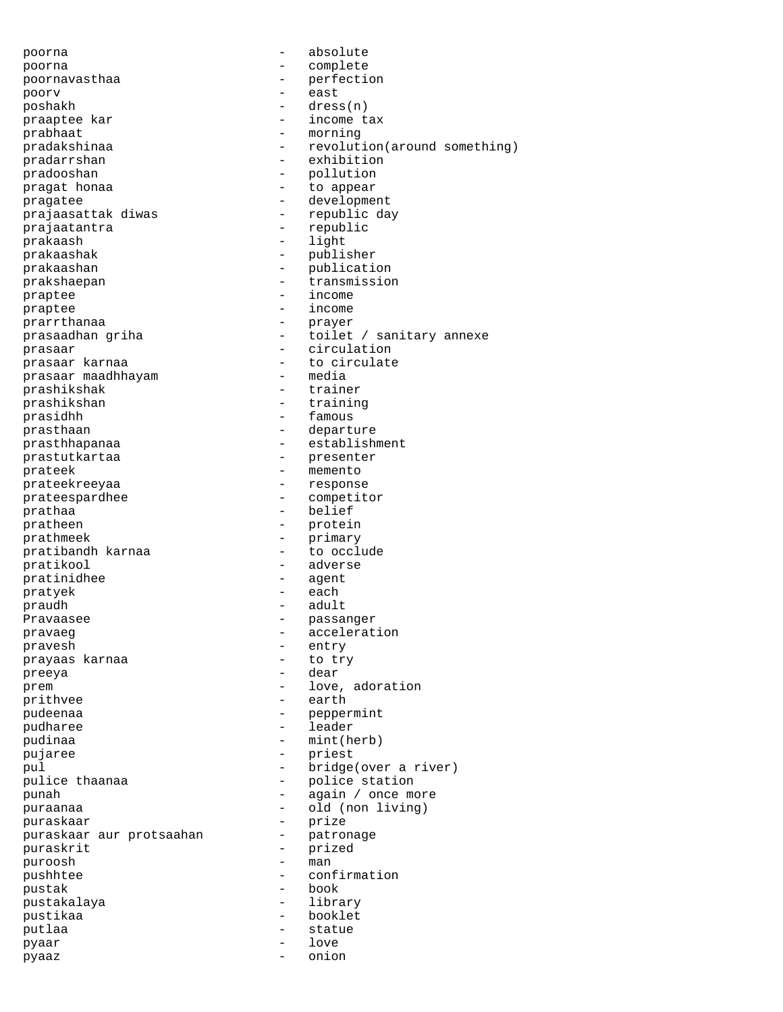poorna - absolute poorna - complete poornavasthaa - perfection poorv - east poshakh - dress(n) praaptee kar  $-$  income tax prabhaat - morning pradakshinaa - revolution(around something) -<br>pradarrshan - exhibition pradooshan - pollution pragat honaa  $\qquad \qquad$  - to appear pragatee  $\qquad$  - development prajaasattak diwas  $\overline{a}$  - republic day prajaatantra - republic prakaash - light prakaashak - publisher prakaashan - publication prakshaepan - transmission praptee - income<br>praptee - income<br>prantee - income praptee - income prarrthanaa - prayer prasaadhan griha - toilet / sanitary annexe prasaar - circulation prasaar karnaa - to circulate<br>prasaar maadhhavam - - - - - - - media prasaar maadhhayam prashikshak - trainer prashikshan - training -<br>prasidhh - famous prasthaan - departure prasthhapanaa - establishment prastutkartaa - presenter prateek - memento prateekreeyaa - response prateespardhee - competitor prathaa - belief pratheen - protein prathmeek - primary pratibandh karnaa pratikool - adverse pratinidhee - agent pratyek - each praudh - adult Pravaasee eeu aan beheer op de gewone in de gewone op de gewone in de gewone in de gewone in de gewone in de g pravaeg extensive contraction of the pravaeg contraction of  $\sim$  acceleration pravesh - entry<br>pravaas karnaa - to try prayaas karnaa preeya - dear prem  $-$  love, adoration -<br>prithvee - earth pudeenaa - peppermint pudharee - leader pudinaa - mint(herb)<br>pujaree - mint(herb) - priest pujaree - priest pul - bridge(over a river) pulice thaanaa - police station punah - again / once more puraanaa - old (non living) puraskaar - prize<br>puraskaar aur protsaahan - patro puraskaar aur protsaahan - patronage puraskrit - prized puroosh - man pushhtee - confirmation pustak - book pustakalaya - library pustikaa - booklet putlaa - statue - statue pyaar - love pyaaz - onion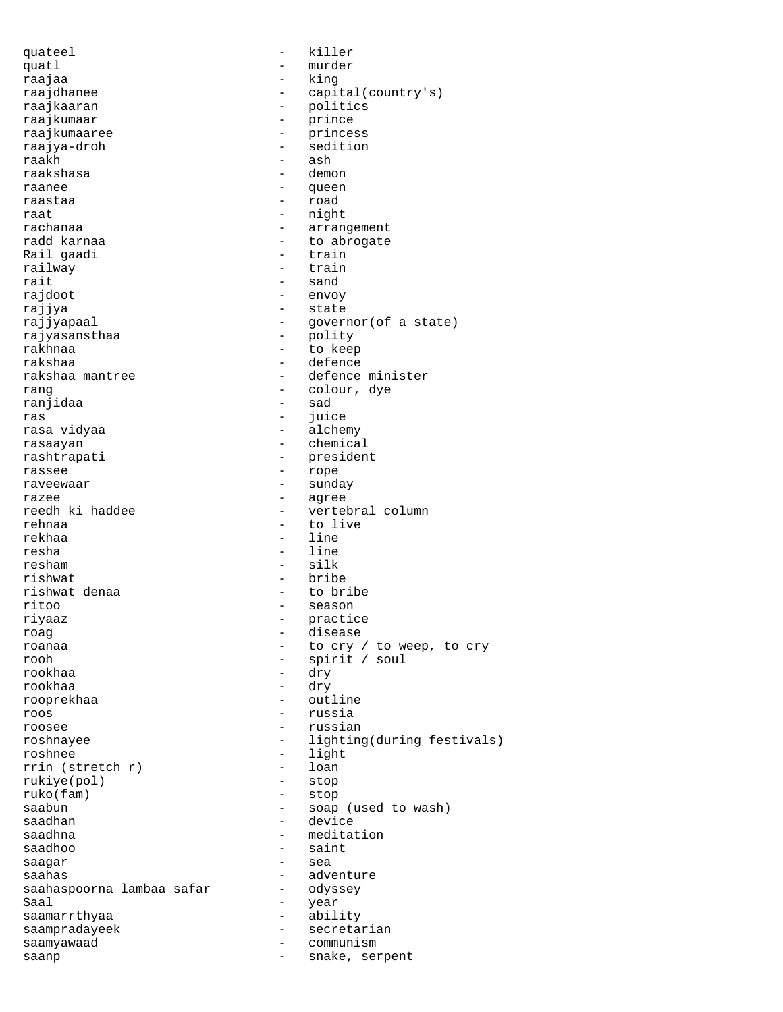quateel - killer quatl - murder raajaa - king raajdhanee - capital(country's) raajkaaran - politics<br>raajkumaar - prince - prince - prince raajkumaaree - princess raajya-droh - sedition - ash<br>- demon raakshasa raanee - queen raastaa - road raat - night rachanaa - arrangement radd karnaa - to abrogate Rail gaadi railway - train rait - sand<br>rajdoot - sand<br>- envoy rajdoot - envoy - state rajjyapaal - governor(of a state)<br>rajyasansthaa - polity - polity rajyasansthaa rakhnaa - to keep rakshaa - defence rakshaa mantree  $\overline{\phantom{a}}$  - defence minister rang - colour, dye ranjidaa - sadaa - sadaa - sadaa - sadaa - sadaa - sadaa - sadaa - sadaa - sadaa - sadaa - sadaa - sadaa - sad<br>Taaliif ah sadaa - sadaa - sadaa - sadaa - sadaa - sadaa - sadaa - sadaa - sadaa - sadaa - sadaa - sadaa - sad ras - juice - alchemy rasaayan - chemical<br>rashtrapati - presiden - president rassee - rope - rope raveewaar - sunday razee - agree - vertebral column rehnaa - to live<br>rekhaa - to live<br>- line rekhaa - line<br>resha - line<br>- line - line resham - silk rishwat - bribe rishwat denaa  $-$  to bribe ritoo - season riyaaz - practice roag - disease roanaa - to cry / to weep, to cry rooh - spirit / soul - dry rookhaa - dry rooprekhaa - outline roos - russia roosee - russian - russian roshnayee - lighting(during festivals) roshnee - light<br>rrin (stretch r) - loan rrin (stretch r) - loan<br>rukiye(pol) - stop rukiye(pol)<br>ruko(fam) ruko(fam) - stop saabun - soap (used to wash)<br>saadhan - device saadhan - device - meditation saadhoo - saint saagar - sea - adventure<br>- odyssey saahaspoorna lambaa safar - -<br>Saal -Saal - year<br>saamarrthyaa - ahil saamarrthyaa - ability saampradayeek - secretarian<br>saamvawaad - communism saamyawaad - communism<br>saann saanp extending the snake, serpent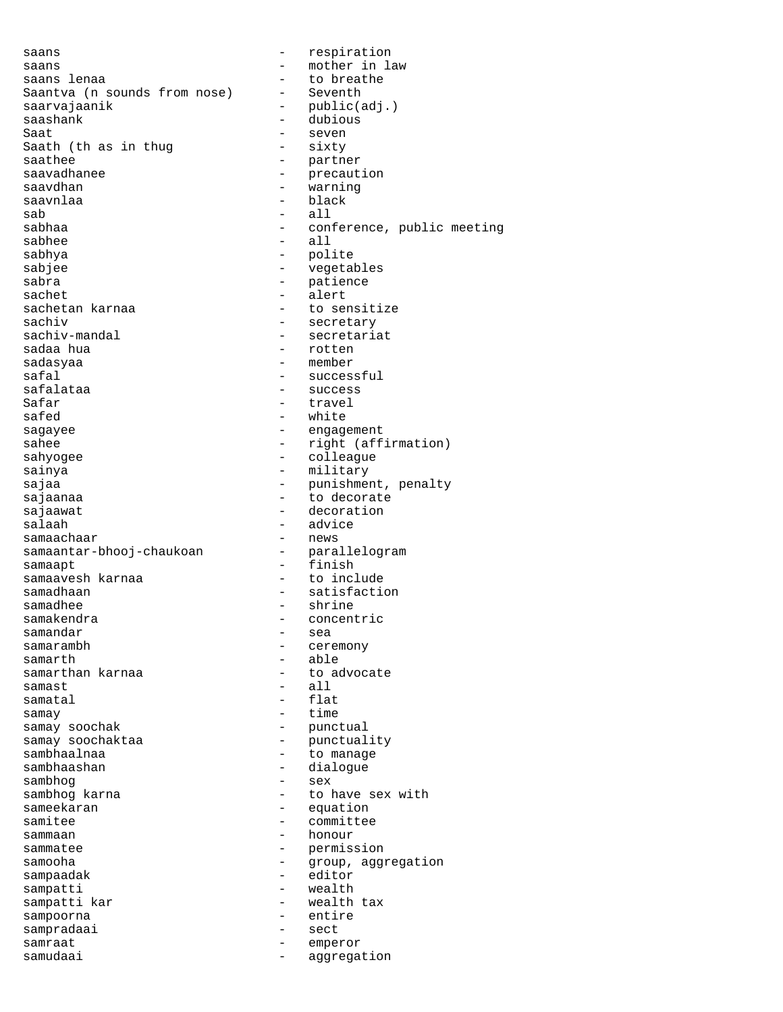saans - respiration saans in the mother in law saans lenaa saans lenaa - to breathe Saantva (n sounds from nose) saarvajaanik - public(adj.)<br>saashank - dubious - dubious - dubious Saat - seven<br>Saath (th as in thug - sixty Saath (th as in thug<br>saathee saathee - partner<br>saavadhanee - precaut - precaut - precaution<br>- warning saavdhan - warning saavnlaa - black - black - black - black - black - black - black - black - black - black - black - black - bla - all sabhaa - conference, public meeting sabhee - all sabhya - polite sabjee - vegetables sabra - patience sachet - alert sachetan karnaa - to sensitize<br>sachiv - secretary sachiv - secretary<br>sachiv-mandal - secretaria - secretariat<br>- rotten sadaa hua sadasyaa - member safal - successful - success Safar - travel safed - white sagayee - engagement sahee - right (affirmation) sahyogee - colleague sainya - military sajaa - punishment, penalty<br>sajaanaa - - - - - - - - - - - - - to decorate - to decorate sajaawat - decoration<br>salaah - decoration<br>- advice - advice<br>- news samaachaar - news<br>samaantar-bhooj-chaukoan - parallelogram samaantar-bhooj-chaukoan samaapt - finish samaavesh karnaa samadhaan - satisfaction<br>samadhee - shrine - shrine samadhee - shrine - concentric samandar - sea - ceremony samarth - able - to advocate samast - all samatal - flat samay  $-$  time samay soochak  $\qquad \qquad$  - punctual samay soochaktaa - punctuality sambhaalnaa - to manage sambhaashan - dialogue<br>sambhoq - sex sambhog<br>sambhog karna sambhog karna  $\begin{array}{ccc} - & + \\ - & - \end{array}$  to have sex with sameekaran sameekaran - equation<br>samitee - - equation<br>- committee - committee sammaan - honour sammatee - permission<br>samooha - permission<br>- group agg samooha - group, aggregation sampaadak - editor<br>sampatti - wealth - wealth sampatti sampatti kar  $\overline{\phantom{a}}$  - wealth tax<br>sampoorna sampoorna - entire sampradaai - sect samraat - emperor samudaai - aggregation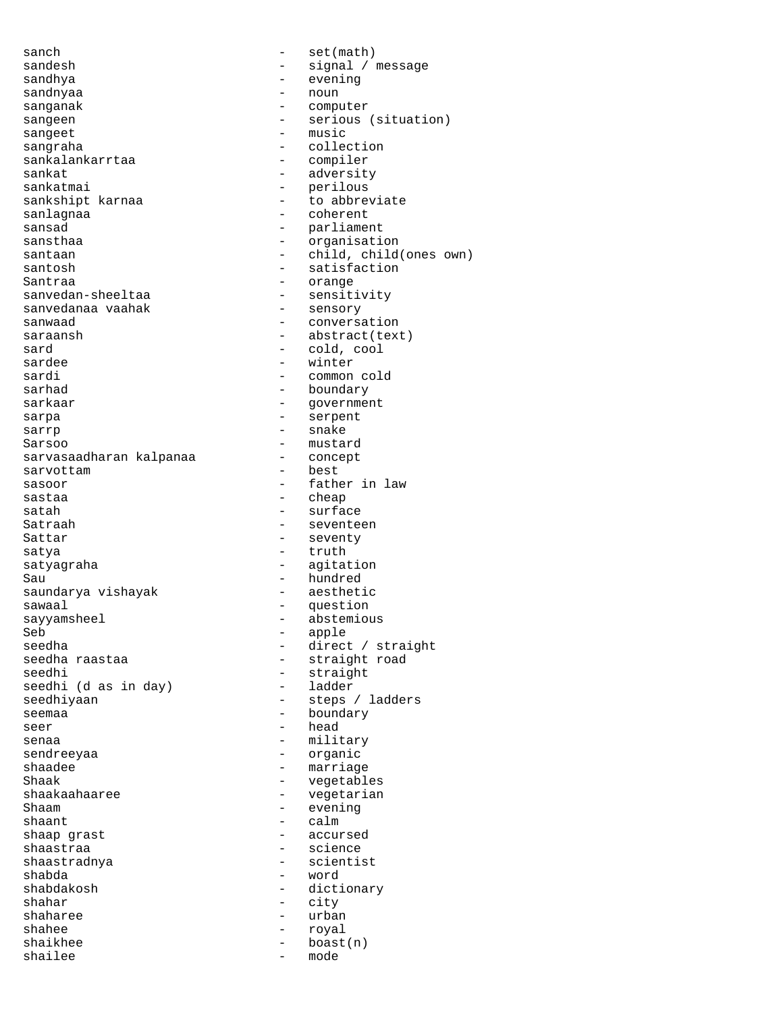sanch - set(math) sandesh - signal / message<br>sandhya - signal / message sandhya - evening sandnyaa - nounneed - nounneed - nounneed - nounneed - nounneed - nounneed - nounneed - nounneed - nounneed sanganak - computer sangeet - music sangraha - collection<br>sankalankarrtaa - - compiler sankalankarrtaa<br>sankat sankatmai - perilous<br>sankshipt karnaa - - - - - - - - - to abbre sanlagnaa - coherent sansad - parliament sansthaa - organisation santosh - satisfaction Santraa - orange - orange - orange - orange - orange - orange - orange - orange - orange - orange - orange - orange - orange - orange - orange - orange - orange - orange - orange - orange - orange - orange - orange - orang sanvedanaa vaahak sanwaad - conversation<br>saraansh - conversation<br>- abstract(tex sard - cold, cool<br>sardee - winter - winter sardee - winter<br>sardi - winter<br>- common sarhad - boundary sarkaar - government sarpa - serpent sarrp - snake Sarsoo - mustard sarvasaadharan kalpanaa - concept sarvottam sasoor - father in law sastaa - cheap - cheap - cheap - cheap - cheap - cheap - cheap - cheap - cheap - cheap - cheap - cheap - cheap Satraah - seventeen Sattar - seventy satya  $-$  truth satyagraha - agitation Sau - hundred<br>saundarya vishayak - aesthetic saundarya vishayak sawaal - question<br>sayyamsheel - abstemiou sayyamsheel - abstemious<br>Seb - apple Seb - apple - apple - apple - apple - apple - apple - apple - apple - apple - apple - apple - apple - apple - apple - apple - apple - apple - apple - apple - apple - apple - apple - apple - apple - apple - apple - apple seedha - direct / straight<br>seedha raastaa - - - - - - - - - - - - - straight road seedha raastaa - straight road<br>seedhi - straight seedhi  $(d$  as in day) seedhiyaan - steps / ladders seemaa - boundary seer head - head senaa - military - military sendreeyaa - organic shaadee - marriage - marriage<br>Shaak - vegetable Shaak - vegetables<br>shaakaahaaree - - - - vegetarian shaakaahaaree - vegetarian<br>Shaam - vegetarian Shaam - evening<br>shaant - evening<br>- calm shaant - calm shaastraa - science<br>shaastradnya - scientist shaastradnya shabda - word shahar - city shaharee - urban shahee - royal shailee - models - models - models - models - models - models - models - models - models - models - models - models - models - models - models - models - models - models - models - models - models - models - models - model

sangeen - serious (situation) - adversity - to abbreviate santaan - child, child(ones own) - sensitivity<br>- sensory - abstract(text) - common cold - surface - straight<br>- ladder - accursed - dictionary - boast(n)<br>- mode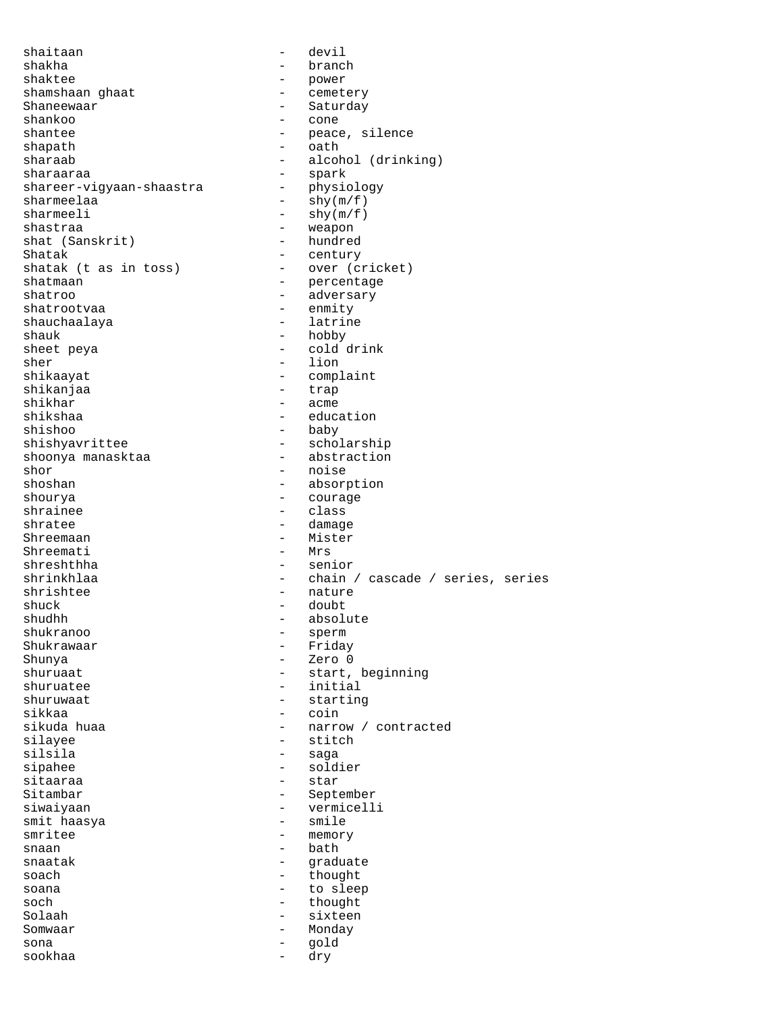shaitaan - devil shakha - branch shaktee - power<br>shamshaan ghaat - power - emeter shamshaan ghaat  $-$  cemetery Shaneewaar - Saturday - Saturday - Saturday - Saturday - Saturday - Saturday - Saturday - Saturday - Saturday - Saturday - Saturday - Saturday - Saturday - Saturday - Saturday - Saturday - Saturday - Saturday - Saturday shankoo<br>shantee - peace, silence shapath - oath - alcohol (drinking) sharaaraa - spark shareer-vigyaan-shaastra  $sharmeelaa$  -  $\frac{1}{\pi}$  -  $\frac{1}{\pi}$  -  $\frac{1}{\pi}$  -  $\frac{1}{\pi}$  -  $\frac{1}{\pi}$  -  $\frac{1}{\pi}$  -  $\frac{1}{\pi}$  -  $\frac{1}{\pi}$  -  $\frac{1}{\pi}$  -  $\frac{1}{\pi}$  -  $\frac{1}{\pi}$  -  $\frac{1}{\pi}$  -  $\frac{1}{\pi}$  -  $\frac{1}{\pi}$  -  $\frac{1}{\pi}$  -  $\frac{1}{\pi}$  -  $\frac$ sharmeeli  $-\text{shy}(\text{m/f})$ shastraa - weapon<br>shat (Sanskrit) - hundred shat (Sanskrit) Shatak - century<br>shatak (t as in toss) - over (cricket) shatak (t as in toss)<br>shatmaan - percentage shatroo - adversary - enmity<br>- latrine shauchaalaya shauk - hobby sheet peya  $\overline{\phantom{a}}$  - cold drink sher - lion shikaayat - complaint shikanjaa<br>shikhar shikhar - acme - education shishoo - baby shishyavrittee - scholarship<br>shoonya manasktaa - abstraction shoonya manasktaa shor - noise - absorption shourya - courage - class shratee - damage Shreemaan - Mister<br>Shreemati - Mrs Shreemati shreshthha - senior shrinkhlaa - chain / cascade / series, series shrishtee - nature shuck - doubt shudhh - absolute shukranoo - sperm Shukrawaar - Friday<br>Shunya - Zero 0 Shunya - Zero 0 shuruaat - start, beginning - initial shuruwaat - starting - coin sikuda huaa  $\qquad \qquad \qquad -$  narrow / contracted silayee - stitch silsila - saga sipahee - soldier sitaaraa - star - September siwaiyaan - vermicelli smit haasya<br>smritee smritee - memory<br>snaan - hath - hath - bath snaatak - graduate<br>soach - thought - thought soana - to sleep soch - thought<br>Solaah - sixteen Solaah - sixteen Somwaar - Monday sona - gold sookhaa - dry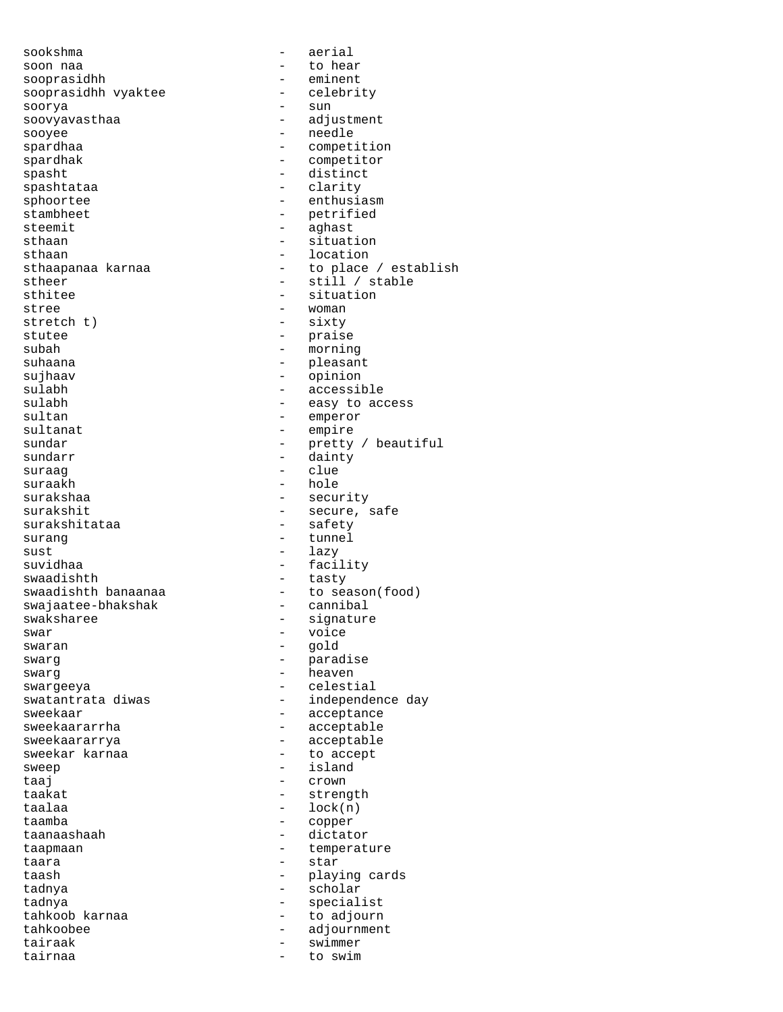sookshma - aerial soon naa - to hear sooprasidhh - eminent sooprasidhh vyaktee soorya - sun soovyavasthaa - adjustment<br>sooyee - - - - - - - - - - - - - - - - needle sooyee - needle - needle - needle - needle - needle - needle - needle - needle - needle - needle - needle - needle - needle - needle - needle - needle - needle - needle - needle - needle - needle - needle - needle - needle spardhaa - competition<br>spardhak - competitor - competitor spasht - distinct spashtataa - clarity sphoortee - enthusiasm<br>stambheet - enthusiasm<br>- petrified - petrified steemit - aghast sthaan - situation sthaan - location sthaapanaa karnaa  $\overline{a}$  and  $\overline{a}$  to place / establish stheer - still / stable<br>sthitee - situation - situation stree - woman<br>stretch t) - sixty stretch t)  $-$  sixty<br>stutee  $-$  praise - praise subah - morning suhaana - pleasant sujhaav - opinion<br>sulabh - accessi - accessible sulabh  $-$  easy to access sultan - emperor sultanat - empire sundar - pretty / beautiful<br>sundarr - dainty - dainty<br>- clue suraag<br>suraakh suraakh - hole - security surakshit - secure, safe surakshitataa surang  $-$  tunnel  $sust$  - lazy suvidhaa - facility swaadishth - tasty - to season(food)<br>- cannibal swajaatee-bhakshak<br>swaksharee swaksharee - signature - signature<br>swar - voice - voice swaran - gold swarg - paradise swarg - heaven swargeeya - celestial<br>swatantrata diwas - independe - independence day sweekaar - acceptance sweekaararrha - acceptable sweekaararrya - acceptable sweekar karnaa  $\qquad \qquad$  - to accept sweep  $\begin{array}{ccc} - & i \text{sland} \\ - & c \text{rown} \end{array}$ taaj - crown taakat - strength taalaa - lock(n)<br>taamba - copper taamba - copper<br>taanaashaah - dictat - dictator taapmaan - temperature taara - star taash - playing cards tadnya - scholar tadnya - specialist - to adjourn tahkoobee - adjournment tairaak - swimmer tairnaa - to swim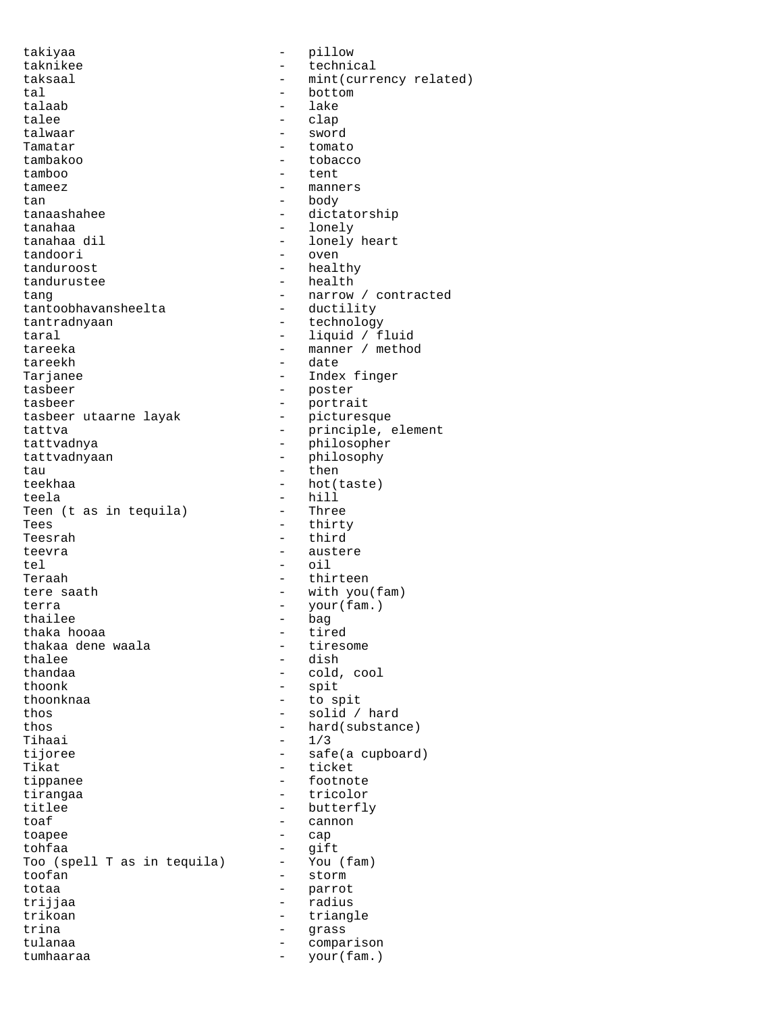takiyaa - pillow taknikee - technical taksaal - mint(currency related) tal - bottom talee - clap<br>talwaar - swor talwaar - sword<br>Tamatar - sword - sword tambakoo - tobacco tamboo - tent tameez - manners tan - body tanaashahee - dictatorship tanahaa - lonely tanahaa dil  $\qquad \qquad$  - lonely heart tandoori - oven tanduroost - healthy tandurustee health - health tang - narrow / contracted tantoobhavansheelta<br>tantradnyaan tantradnyaan - technology<br>taral - liquid / f tareeka - manner / method tareekh - date Tarjanee - Index finger tasbeer - portrait tasbeer utaarne layak tattva - principle, element tattvadnya - philosopher tattvadnyaan - philosophy<br>tau - then tau - then - then teekhaa - hot(taste) teela - hill Teen (t as in tequila) Tees - thirty Teesrah - third teevra - austere tel - oil Teraah - thirteen tere saath  $-$  with you(fam) terra - your(fam.)<br>thailee - bag - bag thailee - bag<br>thaka hooaa - bag - tired thaka hooaa - tired thakaa dene waala<br>thalee thalee - dish<br>thandaa - cold thoonk - spit<br>thoonknaa - to st thos - solid / hard thos - hard(substance)  $\mathsf{Thaai} \qquad \qquad -1/3$ tijoree - safe(a cupboard) Tikat - ticket tippanee - footnote<br>tirangaa tirangaa - tricolor titlee - butterfly<br>toaf - cannon<br>- cannon toaf - cannon<br>toapee - can toapee - cap<br>tohfaa - gift - gift tohfaa - gift Too (spell T as in tequila) toofan - storm totaa - parrot trijjaa - radius - radius trikoan - radius - radius - radius - radius - radius - radius - radius - radius - radius - radius - radius - radius - radius - radius - radius - radius - radius - radius - radius - radius - radius trina  $-$  grass tulanaa - comparison - comparison<br>tumbaaraa - cour(fam.)

- lake - tomato - liquid / fluid - poster - cold, cool - to spit - triangle<br>- grass tumhaaraa - your(fam.)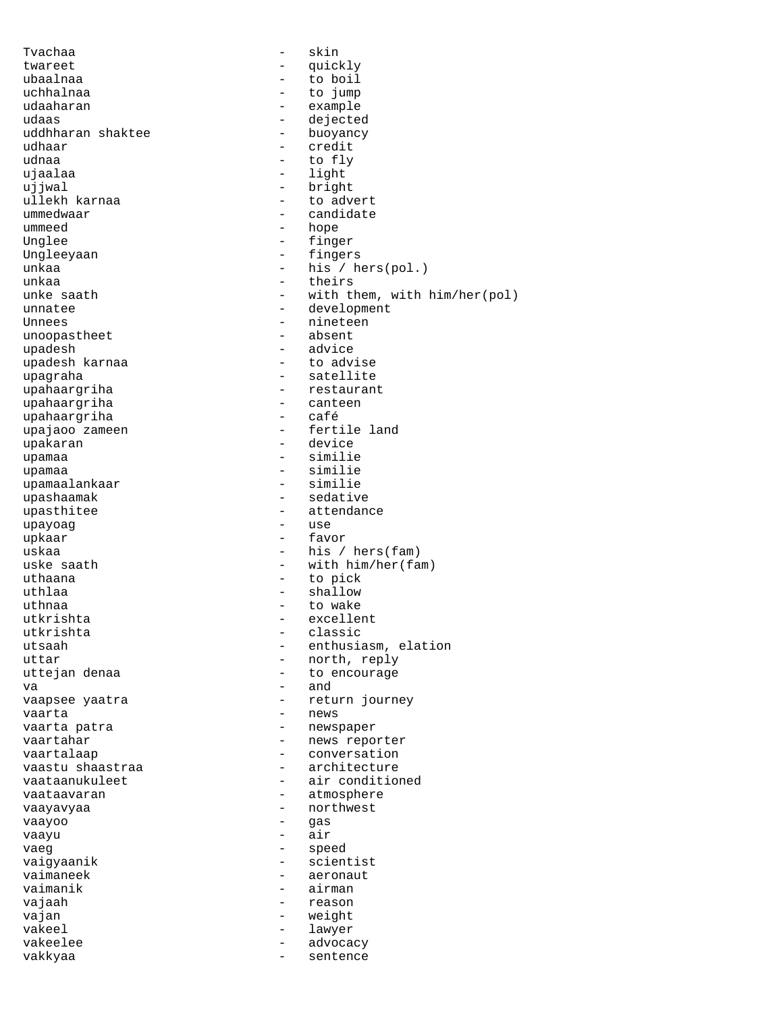Tvachaa - skin twareet - quickly ubaalnaa - to boil uchhalnaa - to jump udaaharan - example - dejected<br>- buoyancy uddhharan shaktee<br>udhaar udhaar - credit<br>udhaa - credit - credit - to fly ujaalaa - light - light ujjwal - bright ullekh karnaa ummedwaar - candidate ummeed - hope Unglee - finger Ungleeyaan - fingers unkaa - his / hers(pol.)<br>unkaa - heirs unkaa - theirs<br>unke saath - theirs - theirs unke saath - with them, with him/her(pol)<br>unnatee - development unnatee - development - nineteen<br>- absent unoopastheet upadesh - advice upadesh karnaa upagraha - satellite upahaargriha - restaurant upahaargriha - canteen upahaargriha upajaoo zameen een een meer aan die beel van die steeds van die steeds van die steeds van die steeds van die s upakaran  $\qquad$  - device upamaa - similie upamaa - similie<br>upamaalankaar - similie - similie upamaalankaar<br>upashaamak - sedative upasthitee - attendance<br>upayoaq - attendance upayoag upkaar  $\qquad \qquad -$  favor  $\qquad \qquad -$  his  $\qquad \qquad -$  his  $\qquad$  $-$  his / hers(fam) uske saath  $-$  with him/her(fam) uthaana - to pick uthlaa - shallow - shallow uthnaa - to wake excellent utkrishta - classic utsaah - enthusiasm, elation uttar - north, reply - to encourage  $\mathbf{v}$ a -  $\mathbf{v}$  -  $\mathbf{v}$  -  $\mathbf{v}$ vaapsee yaatra  $-$  return journey vaarta - news vaarta patra  $-$  newspaper vaartahar - news reporter vaartalaap  $\sim$  - conversation vaastu shaastraa - - architecture vaataanukuleet - air conditioned vaataavaran meessa vaataavaran meessa vaataavaran meessa vaataavaran meessa vaataavaran vaataavaran vaataavara vaayavyaa - northwest vaayoo vaayu - air vaeg extending to the speed of the speed speed of the speed of the speed of the speed of the speed of the speed vaigyaanik - scientist<br>
vaimaneek - aeronaut - aeronaut vaimanik - airman vajaah - reason vajan - weight vakeel - lawyer vakeelee - advocacy - advocacy vakkyaa - sentence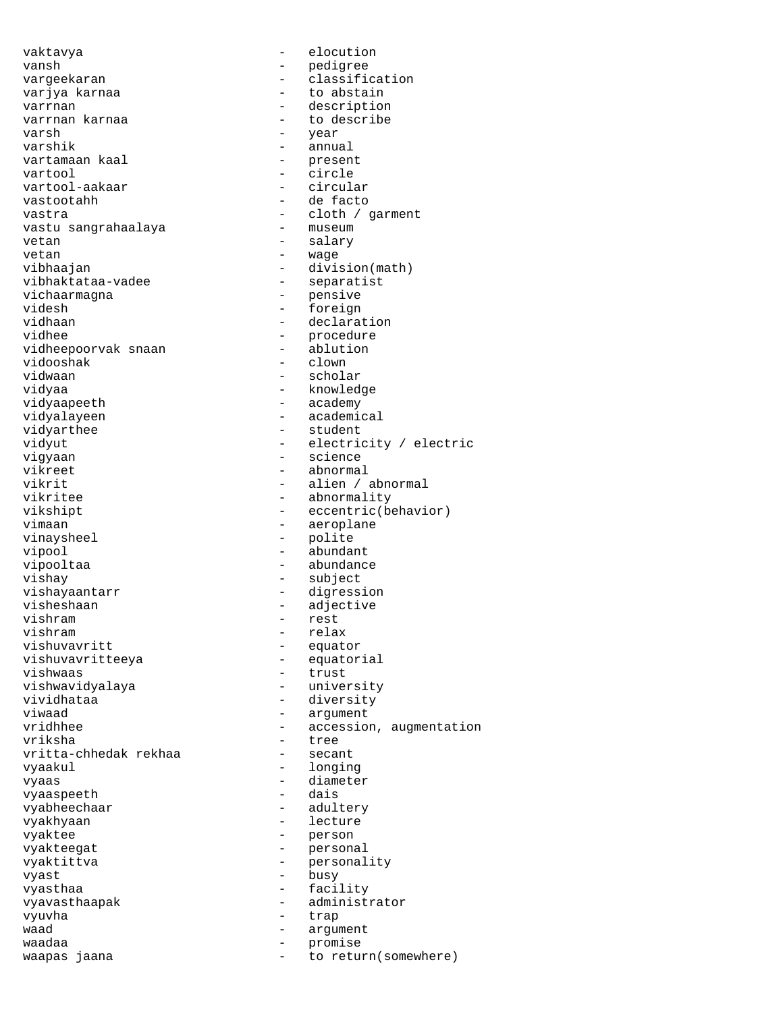vaktavya - elocution vansh - pedigree vargeekaran - classification varjya karnaa  $-$  to abstain varrnan - description to describe varsh - year - annual<br>- present vartamaan kaal vartool - circle vartool-aakaar<br>vastootahh - de facto vastra - cloth / garment vastu sangrahaalaya vetan - salary - salary vetan  $-$  wage vibhaajan - division(math)<br>vibhaktataa-vadee - - separatist vibhaktataa-vadee - separatistichaarmagna - separatistichaarmagna vichaarmagna<br>videsh videsh - foreign<br>vidhaan - foreign<br>declara vidhaan - declaration<br>vidhee - mocedure - procedure<br>- ablution vidheepoorvak snaan vidooshak - clown<br>vidwaan - clown<br>- schola - scholar vidvaa - knowledge - knowledge vidyaapeeth - academy vidyalayeen - academical vidyarthee - student vidyut - electricity / electric<br>vigyaan - science - science vigyaan - science vikreet - abnormal<br>vikrit - alien / vikrit - alien / abnormal - abnormality vikshipt - eccentric(behavior) vimaan - aeroplane vinaysheel - polite vipool - abundant vipooltaa - abundance vishay - subject - digression visheshaan - adjective<br>vishram - rest<br>- rest vishram - rest vishram - relax<br>vishuvavritt - equate - equator<br>- equatorial vishuvavritteeya<br>vishwaas - trust<br>- university vishwavidyalaya<br>vividhataa vividhataa - diversity<br>viwaad - diversity<br>- argument - argument vridhhee - accession, augmentation vriksha - tree vritta-chhedak rekhaa vyaakul - longing - longing vyaas - diameter<br>vvaaspeeth - dais vyaaspeeth vyabheechaar - adultery vyakhyaan - lecture vyaktee - person vyakteegat - personal<br>vyaktittya - personal vyaktittva - personality vyast - busy vyasthaa - facility vyavasthaapak - administrator vyuvha - trap waad - argument waadaa - promise - to return(somewhere)